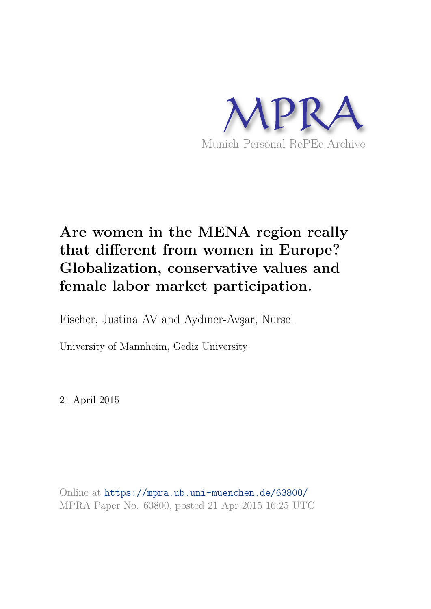

# **Are women in the MENA region really that different from women in Europe? Globalization, conservative values and female labor market participation.**

Fischer, Justina AV and Aydıner-Avşar, Nursel

University of Mannheim, Gediz University

21 April 2015

Online at https://mpra.ub.uni-muenchen.de/63800/ MPRA Paper No. 63800, posted 21 Apr 2015 16:25 UTC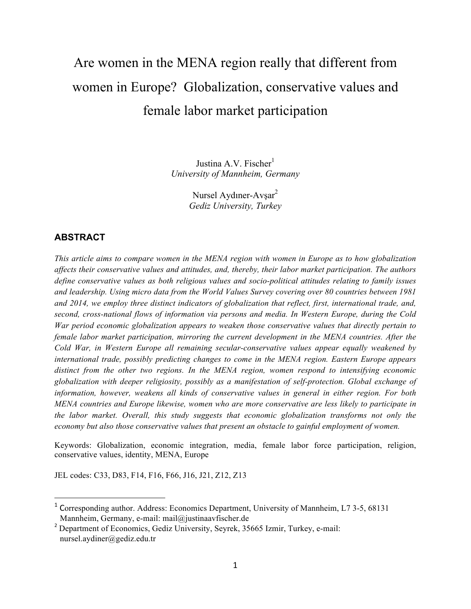# Are women in the MENA region really that different from women in Europe? Globalization, conservative values and female labor market participation

Justina A.V. Fischer $<sup>1</sup>$ </sup> *University of Mannheim, Germany* 

> Nursel Aydıner-Avşar 2 *Gediz University, Turkey*

## **ABSTRACT**

*This article aims to compare women in the MENA region with women in Europe as to how globalization affects their conservative values and attitudes, and, thereby, their labor market participation. The authors define conservative values as both religious values and socio-political attitudes relating to family issues and leadership. Using micro data from the World Values Survey covering over 80 countries between 1981 and 2014, we employ three distinct indicators of globalization that reflect, first, international trade, and, second, cross-national flows of information via persons and media. In Western Europe, during the Cold War period economic globalization appears to weaken those conservative values that directly pertain to female labor market participation, mirroring the current development in the MENA countries. After the Cold War, in Western Europe all remaining secular-conservative values appear equally weakened by international trade, possibly predicting changes to come in the MENA region. Eastern Europe appears distinct from the other two regions. In the MENA region, women respond to intensifying economic globalization with deeper religiosity, possibly as a manifestation of self-protection. Global exchange of information, however, weakens all kinds of conservative values in general in either region. For both MENA countries and Europe likewise, women who are more conservative are less likely to participate in the labor market. Overall, this study suggests that economic globalization transforms not only the economy but also those conservative values that present an obstacle to gainful employment of women.* 

Keywords: Globalization, economic integration, media, female labor force participation, religion, conservative values, identity, MENA, Europe

JEL codes: C33, D83, F14, F16, F66, J16, J21, Z12, Z13

<sup>&</sup>lt;sup>1</sup> Corresponding author. Address: Economics Department, University of Mannheim, L7 3-5, 68131 Mannheim, Germany, e-mail: mail@justinaavfischer.de

<sup>&</sup>lt;sup>2</sup> Department of Economics, Gediz University, Seyrek, 35665 Izmir, Turkey, e-mail: nursel.aydiner@gediz.edu.tr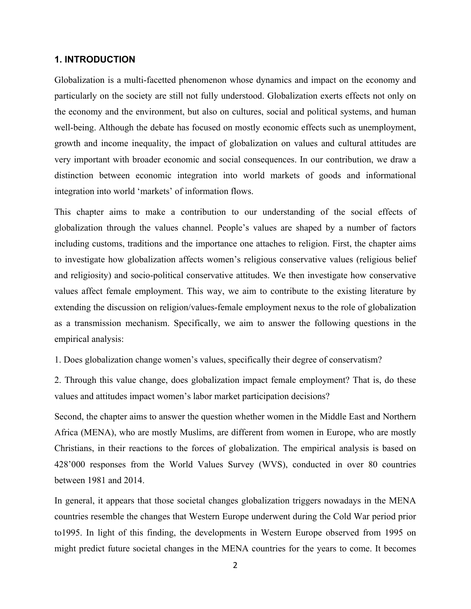## **1. INTRODUCTION**

Globalization is a multi-facetted phenomenon whose dynamics and impact on the economy and particularly on the society are still not fully understood. Globalization exerts effects not only on the economy and the environment, but also on cultures, social and political systems, and human well-being. Although the debate has focused on mostly economic effects such as unemployment, growth and income inequality, the impact of globalization on values and cultural attitudes are very important with broader economic and social consequences. In our contribution, we draw a distinction between economic integration into world markets of goods and informational integration into world 'markets' of information flows.

This chapter aims to make a contribution to our understanding of the social effects of globalization through the values channel. People's values are shaped by a number of factors including customs, traditions and the importance one attaches to religion. First, the chapter aims to investigate how globalization affects women's religious conservative values (religious belief and religiosity) and socio-political conservative attitudes. We then investigate how conservative values affect female employment. This way, we aim to contribute to the existing literature by extending the discussion on religion/values-female employment nexus to the role of globalization as a transmission mechanism. Specifically, we aim to answer the following questions in the empirical analysis:

1. Does globalization change women's values, specifically their degree of conservatism?

2. Through this value change, does globalization impact female employment? That is, do these values and attitudes impact women's labor market participation decisions?

Second, the chapter aims to answer the question whether women in the Middle East and Northern Africa (MENA), who are mostly Muslims, are different from women in Europe, who are mostly Christians, in their reactions to the forces of globalization. The empirical analysis is based on 428'000 responses from the World Values Survey (WVS), conducted in over 80 countries between 1981 and 2014.

In general, it appears that those societal changes globalization triggers nowadays in the MENA countries resemble the changes that Western Europe underwent during the Cold War period prior to1995. In light of this finding, the developments in Western Europe observed from 1995 on might predict future societal changes in the MENA countries for the years to come. It becomes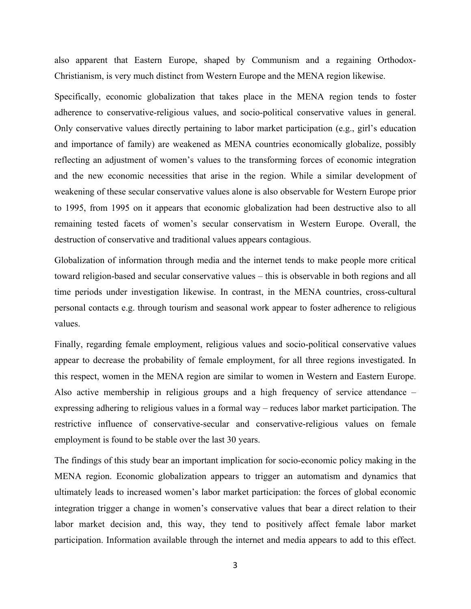also apparent that Eastern Europe, shaped by Communism and a regaining Orthodox-Christianism, is very much distinct from Western Europe and the MENA region likewise.

Specifically, economic globalization that takes place in the MENA region tends to foster adherence to conservative-religious values, and socio-political conservative values in general. Only conservative values directly pertaining to labor market participation (e.g., girl's education and importance of family) are weakened as MENA countries economically globalize, possibly reflecting an adjustment of women's values to the transforming forces of economic integration and the new economic necessities that arise in the region. While a similar development of weakening of these secular conservative values alone is also observable for Western Europe prior to 1995, from 1995 on it appears that economic globalization had been destructive also to all remaining tested facets of women's secular conservatism in Western Europe. Overall, the destruction of conservative and traditional values appears contagious.

Globalization of information through media and the internet tends to make people more critical toward religion-based and secular conservative values – this is observable in both regions and all time periods under investigation likewise. In contrast, in the MENA countries, cross-cultural personal contacts e.g. through tourism and seasonal work appear to foster adherence to religious values.

Finally, regarding female employment, religious values and socio-political conservative values appear to decrease the probability of female employment, for all three regions investigated. In this respect, women in the MENA region are similar to women in Western and Eastern Europe. Also active membership in religious groups and a high frequency of service attendance – expressing adhering to religious values in a formal way – reduces labor market participation. The restrictive influence of conservative-secular and conservative-religious values on female employment is found to be stable over the last 30 years.

The findings of this study bear an important implication for socio-economic policy making in the MENA region. Economic globalization appears to trigger an automatism and dynamics that ultimately leads to increased women's labor market participation: the forces of global economic integration trigger a change in women's conservative values that bear a direct relation to their labor market decision and, this way, they tend to positively affect female labor market participation. Information available through the internet and media appears to add to this effect.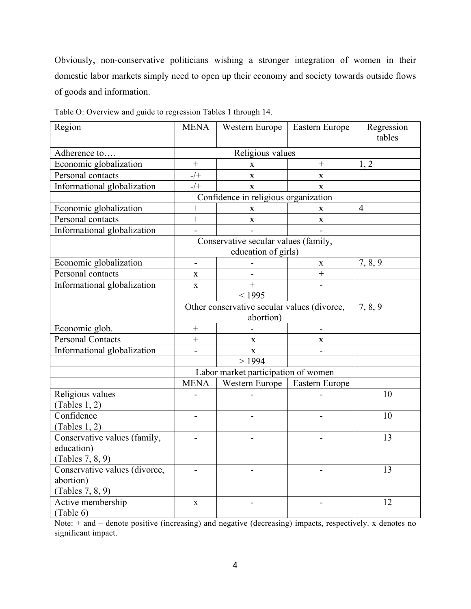Obviously, non-conservative politicians wishing a stronger integration of women in their domestic labor markets simply need to open up their economy and society towards outside flows of goods and information.

| Region                        | <b>MENA</b>                                 | Western Europe                       | Eastern Europe | Regression<br>tables |
|-------------------------------|---------------------------------------------|--------------------------------------|----------------|----------------------|
| Adherence to                  |                                             | Religious values                     |                |                      |
| Economic globalization        | $^{+}$                                      | X                                    | $\! + \!$      | 1, 2                 |
| Personal contacts             | $-/+$                                       | X                                    | $\mathbf X$    |                      |
| Informational globalization   | $-/+$                                       | $\mathbf X$                          | $\mathbf{X}$   |                      |
|                               |                                             | Confidence in religious organization |                |                      |
| Economic globalization        | $\! + \!$                                   | $\mathbf X$                          | $\mathbf X$    | $\overline{4}$       |
| Personal contacts             | $^{+}$                                      | $\mathbf X$                          | $\mathbf X$    |                      |
| Informational globalization   |                                             |                                      |                |                      |
|                               |                                             | Conservative secular values (family, |                |                      |
|                               |                                             | education of girls)                  |                |                      |
| Economic globalization        |                                             |                                      | $\mathbf X$    | 7, 8, 9              |
| Personal contacts             | $\mathbf X$                                 |                                      | $\ddot{}$      |                      |
| Informational globalization   | $\mathbf X$                                 | $\ddot{}$                            |                |                      |
|                               |                                             | < 1995                               |                |                      |
|                               | Other conservative secular values (divorce, | 7, 8, 9                              |                |                      |
|                               |                                             | abortion)                            |                |                      |
| Economic glob.                | $\! + \!$                                   |                                      | $\overline{a}$ |                      |
| <b>Personal Contacts</b>      | $^{+}$                                      | X                                    | X              |                      |
| Informational globalization   | $\overline{a}$                              | $\mathbf X$                          |                |                      |
|                               |                                             | >1994                                |                |                      |
|                               |                                             | Labor market participation of women  |                |                      |
|                               | <b>MENA</b>                                 | Western Europe                       | Eastern Europe |                      |
| Religious values              |                                             |                                      |                | 10                   |
| (Tables 1, 2)                 |                                             |                                      |                |                      |
| Confidence                    |                                             |                                      |                | 10                   |
| (Tables 1, 2)                 |                                             |                                      |                |                      |
| Conservative values (family,  |                                             |                                      |                | 13                   |
| education)                    |                                             |                                      |                |                      |
| (Tables 7, 8, 9)              |                                             |                                      |                |                      |
| Conservative values (divorce, |                                             |                                      |                | 13                   |
| abortion)                     |                                             |                                      |                |                      |
| (Tables 7, 8, 9)              |                                             |                                      |                |                      |
| Active membership             | $\mathbf X$                                 |                                      |                | 12                   |
| (Table 6)                     |                                             |                                      |                |                      |

Table O: Overview and guide to regression Tables 1 through 14.

Note: + and – denote positive (increasing) and negative (decreasing) impacts, respectively. x denotes no significant impact.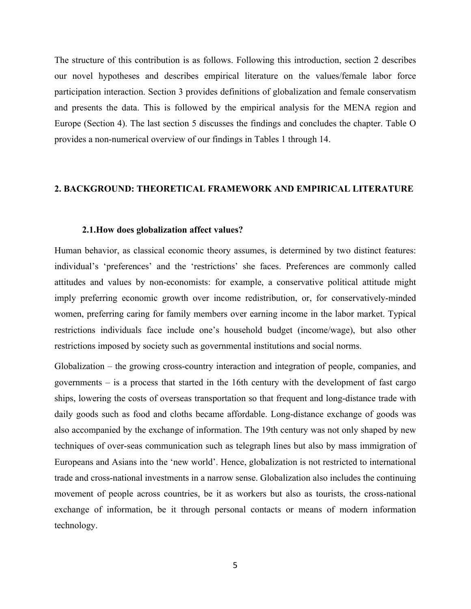The structure of this contribution is as follows. Following this introduction, section 2 describes our novel hypotheses and describes empirical literature on the values/female labor force participation interaction. Section 3 provides definitions of globalization and female conservatism and presents the data. This is followed by the empirical analysis for the MENA region and Europe (Section 4). The last section 5 discusses the findings and concludes the chapter. Table O provides a non-numerical overview of our findings in Tables 1 through 14.

#### **2. BACKGROUND: THEORETICAL FRAMEWORK AND EMPIRICAL LITERATURE**

#### **2.1.How does globalization affect values?**

Human behavior, as classical economic theory assumes, is determined by two distinct features: individual's 'preferences' and the 'restrictions' she faces. Preferences are commonly called attitudes and values by non-economists: for example, a conservative political attitude might imply preferring economic growth over income redistribution, or, for conservatively-minded women, preferring caring for family members over earning income in the labor market. Typical restrictions individuals face include one's household budget (income/wage), but also other restrictions imposed by society such as governmental institutions and social norms.

Globalization – the growing cross-country interaction and integration of people, companies, and governments – is a process that started in the 16th century with the development of fast cargo ships, lowering the costs of overseas transportation so that frequent and long-distance trade with daily goods such as food and cloths became affordable. Long-distance exchange of goods was also accompanied by the exchange of information. The 19th century was not only shaped by new techniques of over-seas communication such as telegraph lines but also by mass immigration of Europeans and Asians into the 'new world'. Hence, globalization is not restricted to international trade and cross-national investments in a narrow sense. Globalization also includes the continuing movement of people across countries, be it as workers but also as tourists, the cross-national exchange of information, be it through personal contacts or means of modern information technology.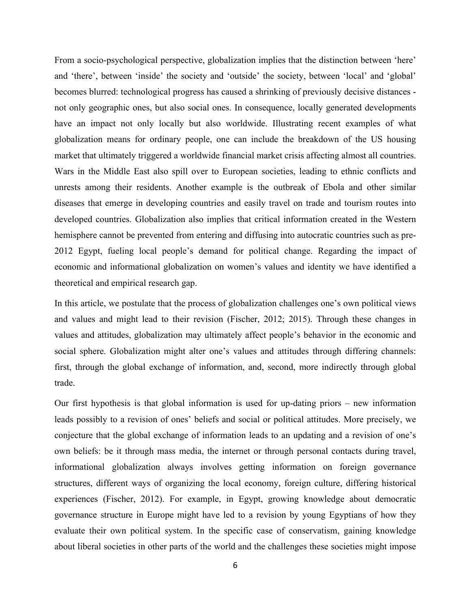From a socio-psychological perspective, globalization implies that the distinction between 'here' and 'there', between 'inside' the society and 'outside' the society, between 'local' and 'global' becomes blurred: technological progress has caused a shrinking of previously decisive distances not only geographic ones, but also social ones. In consequence, locally generated developments have an impact not only locally but also worldwide. Illustrating recent examples of what globalization means for ordinary people, one can include the breakdown of the US housing market that ultimately triggered a worldwide financial market crisis affecting almost all countries. Wars in the Middle East also spill over to European societies, leading to ethnic conflicts and unrests among their residents. Another example is the outbreak of Ebola and other similar diseases that emerge in developing countries and easily travel on trade and tourism routes into developed countries. Globalization also implies that critical information created in the Western hemisphere cannot be prevented from entering and diffusing into autocratic countries such as pre-2012 Egypt, fueling local people's demand for political change. Regarding the impact of economic and informational globalization on women's values and identity we have identified a theoretical and empirical research gap.

In this article, we postulate that the process of globalization challenges one's own political views and values and might lead to their revision (Fischer, 2012; 2015). Through these changes in values and attitudes, globalization may ultimately affect people's behavior in the economic and social sphere. Globalization might alter one's values and attitudes through differing channels: first, through the global exchange of information, and, second, more indirectly through global trade.

Our first hypothesis is that global information is used for up-dating priors – new information leads possibly to a revision of ones' beliefs and social or political attitudes. More precisely, we conjecture that the global exchange of information leads to an updating and a revision of one's own beliefs: be it through mass media, the internet or through personal contacts during travel, informational globalization always involves getting information on foreign governance structures, different ways of organizing the local economy, foreign culture, differing historical experiences (Fischer, 2012). For example, in Egypt, growing knowledge about democratic governance structure in Europe might have led to a revision by young Egyptians of how they evaluate their own political system. In the specific case of conservatism, gaining knowledge about liberal societies in other parts of the world and the challenges these societies might impose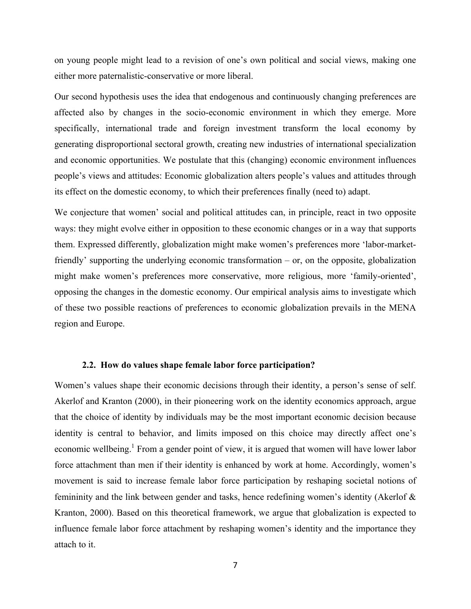on young people might lead to a revision of one's own political and social views, making one either more paternalistic-conservative or more liberal.

Our second hypothesis uses the idea that endogenous and continuously changing preferences are affected also by changes in the socio-economic environment in which they emerge. More specifically, international trade and foreign investment transform the local economy by generating disproportional sectoral growth, creating new industries of international specialization and economic opportunities. We postulate that this (changing) economic environment influences people's views and attitudes: Economic globalization alters people's values and attitudes through its effect on the domestic economy, to which their preferences finally (need to) adapt.

We conjecture that women' social and political attitudes can, in principle, react in two opposite ways: they might evolve either in opposition to these economic changes or in a way that supports them. Expressed differently, globalization might make women's preferences more 'labor-marketfriendly' supporting the underlying economic transformation – or, on the opposite, globalization might make women's preferences more conservative, more religious, more 'family-oriented', opposing the changes in the domestic economy. Our empirical analysis aims to investigate which of these two possible reactions of preferences to economic globalization prevails in the MENA region and Europe.

#### **2.2. How do values shape female labor force participation?**

Women's values shape their economic decisions through their identity, a person's sense of self. Akerlof and Kranton (2000), in their pioneering work on the identity economics approach, argue that the choice of identity by individuals may be the most important economic decision because identity is central to behavior, and limits imposed on this choice may directly affect one's economic wellbeing.<sup>1</sup> From a gender point of view, it is argued that women will have lower labor force attachment than men if their identity is enhanced by work at home. Accordingly, women's movement is said to increase female labor force participation by reshaping societal notions of femininity and the link between gender and tasks, hence redefining women's identity (Akerlof & Kranton, 2000). Based on this theoretical framework, we argue that globalization is expected to influence female labor force attachment by reshaping women's identity and the importance they attach to it.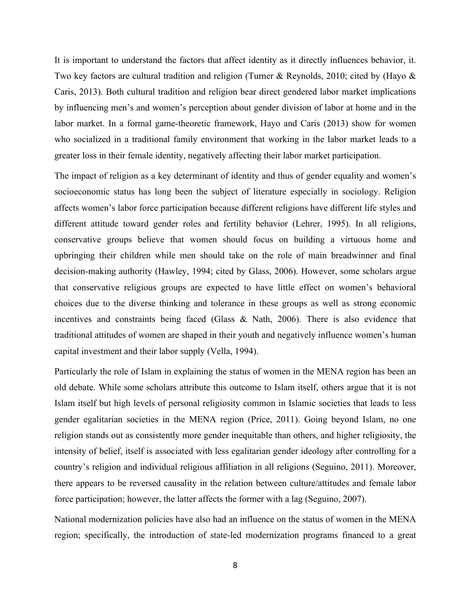It is important to understand the factors that affect identity as it directly influences behavior, it. Two key factors are cultural tradition and religion (Turner & Reynolds, 2010; cited by (Hayo & Caris, 2013). Both cultural tradition and religion bear direct gendered labor market implications by influencing men's and women's perception about gender division of labor at home and in the labor market. In a formal game-theoretic framework, Hayo and Caris (2013) show for women who socialized in a traditional family environment that working in the labor market leads to a greater loss in their female identity, negatively affecting their labor market participation.

The impact of religion as a key determinant of identity and thus of gender equality and women's socioeconomic status has long been the subject of literature especially in sociology. Religion affects women's labor force participation because different religions have different life styles and different attitude toward gender roles and fertility behavior (Lehrer, 1995). In all religions, conservative groups believe that women should focus on building a virtuous home and upbringing their children while men should take on the role of main breadwinner and final decision-making authority (Hawley, 1994; cited by Glass, 2006). However, some scholars argue that conservative religious groups are expected to have little effect on women's behavioral choices due to the diverse thinking and tolerance in these groups as well as strong economic incentives and constraints being faced (Glass & Nath, 2006). There is also evidence that traditional attitudes of women are shaped in their youth and negatively influence women's human capital investment and their labor supply (Vella, 1994).

Particularly the role of Islam in explaining the status of women in the MENA region has been an old debate. While some scholars attribute this outcome to Islam itself, others argue that it is not Islam itself but high levels of personal religiosity common in Islamic societies that leads to less gender egalitarian societies in the MENA region (Price, 2011). Going beyond Islam, no one religion stands out as consistently more gender inequitable than others, and higher religiosity, the intensity of belief, itself is associated with less egalitarian gender ideology after controlling for a country's religion and individual religious affiliation in all religions (Seguino, 2011). Moreover, there appears to be reversed causality in the relation between culture/attitudes and female labor force participation; however, the latter affects the former with a lag (Seguino, 2007).

National modernization policies have also had an influence on the status of women in the MENA region; specifically, the introduction of state-led modernization programs financed to a great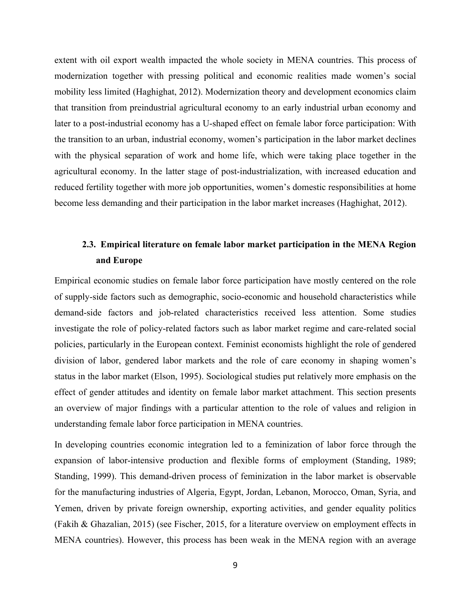extent with oil export wealth impacted the whole society in MENA countries. This process of modernization together with pressing political and economic realities made women's social mobility less limited (Haghighat, 2012). Modernization theory and development economics claim that transition from preindustrial agricultural economy to an early industrial urban economy and later to a post-industrial economy has a U-shaped effect on female labor force participation: With the transition to an urban, industrial economy, women's participation in the labor market declines with the physical separation of work and home life, which were taking place together in the agricultural economy. In the latter stage of post-industrialization, with increased education and reduced fertility together with more job opportunities, women's domestic responsibilities at home become less demanding and their participation in the labor market increases (Haghighat, 2012).

## **2.3. Empirical literature on female labor market participation in the MENA Region and Europe**

Empirical economic studies on female labor force participation have mostly centered on the role of supply-side factors such as demographic, socio-economic and household characteristics while demand-side factors and job-related characteristics received less attention. Some studies investigate the role of policy-related factors such as labor market regime and care-related social policies, particularly in the European context. Feminist economists highlight the role of gendered division of labor, gendered labor markets and the role of care economy in shaping women's status in the labor market (Elson, 1995). Sociological studies put relatively more emphasis on the effect of gender attitudes and identity on female labor market attachment. This section presents an overview of major findings with a particular attention to the role of values and religion in understanding female labor force participation in MENA countries.

In developing countries economic integration led to a feminization of labor force through the expansion of labor-intensive production and flexible forms of employment (Standing, 1989; Standing, 1999). This demand-driven process of feminization in the labor market is observable for the manufacturing industries of Algeria, Egypt, Jordan, Lebanon, Morocco, Oman, Syria, and Yemen, driven by private foreign ownership, exporting activities, and gender equality politics (Fakih & Ghazalian, 2015) (see Fischer, 2015, for a literature overview on employment effects in MENA countries). However, this process has been weak in the MENA region with an average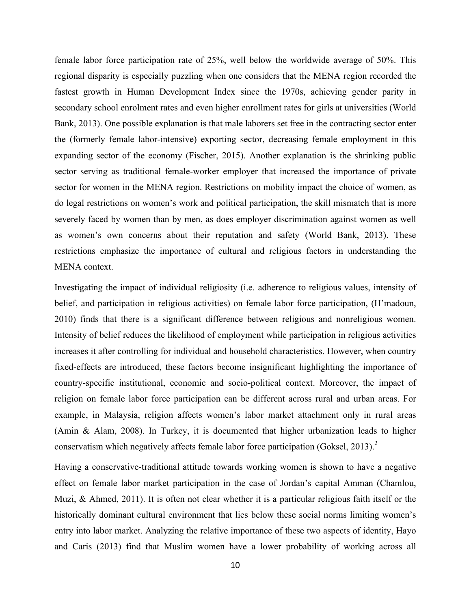female labor force participation rate of 25%, well below the worldwide average of 50%. This regional disparity is especially puzzling when one considers that the MENA region recorded the fastest growth in Human Development Index since the 1970s, achieving gender parity in secondary school enrolment rates and even higher enrollment rates for girls at universities (World Bank, 2013). One possible explanation is that male laborers set free in the contracting sector enter the (formerly female labor-intensive) exporting sector, decreasing female employment in this expanding sector of the economy (Fischer, 2015). Another explanation is the shrinking public sector serving as traditional female-worker employer that increased the importance of private sector for women in the MENA region. Restrictions on mobility impact the choice of women, as do legal restrictions on women's work and political participation, the skill mismatch that is more severely faced by women than by men, as does employer discrimination against women as well as women's own concerns about their reputation and safety (World Bank, 2013). These restrictions emphasize the importance of cultural and religious factors in understanding the MENA context.

Investigating the impact of individual religiosity (i.e. adherence to religious values, intensity of belief, and participation in religious activities) on female labor force participation, (H'madoun, 2010) finds that there is a significant difference between religious and nonreligious women. Intensity of belief reduces the likelihood of employment while participation in religious activities increases it after controlling for individual and household characteristics. However, when country fixed-effects are introduced, these factors become insignificant highlighting the importance of country-specific institutional, economic and socio-political context. Moreover, the impact of religion on female labor force participation can be different across rural and urban areas. For example, in Malaysia, religion affects women's labor market attachment only in rural areas (Amin & Alam, 2008). In Turkey, it is documented that higher urbanization leads to higher conservatism which negatively affects female labor force participation (Goksel, 2013).<sup>2</sup>

Having a conservative-traditional attitude towards working women is shown to have a negative effect on female labor market participation in the case of Jordan's capital Amman (Chamlou, Muzi, & Ahmed, 2011). It is often not clear whether it is a particular religious faith itself or the historically dominant cultural environment that lies below these social norms limiting women's entry into labor market. Analyzing the relative importance of these two aspects of identity, Hayo and Caris (2013) find that Muslim women have a lower probability of working across all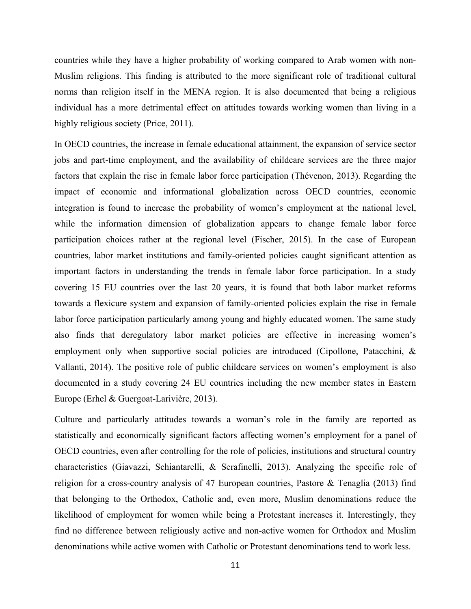countries while they have a higher probability of working compared to Arab women with non-Muslim religions. This finding is attributed to the more significant role of traditional cultural norms than religion itself in the MENA region. It is also documented that being a religious individual has a more detrimental effect on attitudes towards working women than living in a highly religious society (Price, 2011).

In OECD countries, the increase in female educational attainment, the expansion of service sector jobs and part-time employment, and the availability of childcare services are the three major factors that explain the rise in female labor force participation (Thévenon, 2013). Regarding the impact of economic and informational globalization across OECD countries, economic integration is found to increase the probability of women's employment at the national level, while the information dimension of globalization appears to change female labor force participation choices rather at the regional level (Fischer, 2015). In the case of European countries, labor market institutions and family-oriented policies caught significant attention as important factors in understanding the trends in female labor force participation. In a study covering 15 EU countries over the last 20 years, it is found that both labor market reforms towards a flexicure system and expansion of family-oriented policies explain the rise in female labor force participation particularly among young and highly educated women. The same study also finds that deregulatory labor market policies are effective in increasing women's employment only when supportive social policies are introduced (Cipollone, Patacchini, & Vallanti, 2014). The positive role of public childcare services on women's employment is also documented in a study covering 24 EU countries including the new member states in Eastern Europe (Erhel & Guergoat-Larivière, 2013).

Culture and particularly attitudes towards a woman's role in the family are reported as statistically and economically significant factors affecting women's employment for a panel of OECD countries, even after controlling for the role of policies, institutions and structural country characteristics (Giavazzi, Schiantarelli, & Serafinelli, 2013). Analyzing the specific role of religion for a cross-country analysis of 47 European countries, Pastore & Tenaglia (2013) find that belonging to the Orthodox, Catholic and, even more, Muslim denominations reduce the likelihood of employment for women while being a Protestant increases it. Interestingly, they find no difference between religiously active and non-active women for Orthodox and Muslim denominations while active women with Catholic or Protestant denominations tend to work less.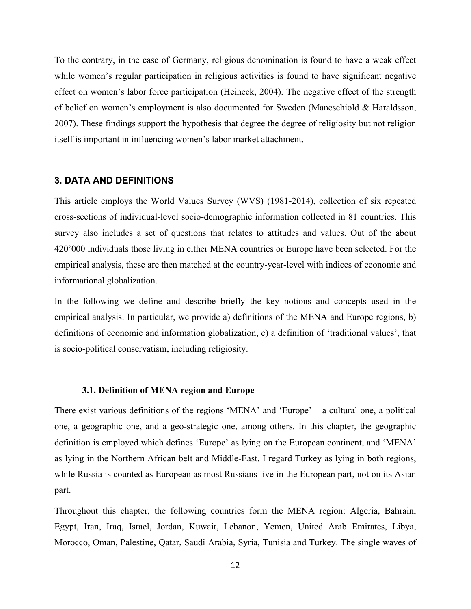To the contrary, in the case of Germany, religious denomination is found to have a weak effect while women's regular participation in religious activities is found to have significant negative effect on women's labor force participation (Heineck, 2004). The negative effect of the strength of belief on women's employment is also documented for Sweden (Maneschiold & Haraldsson, 2007). These findings support the hypothesis that degree the degree of religiosity but not religion itself is important in influencing women's labor market attachment.

#### **3. DATA AND DEFINITIONS**

This article employs the World Values Survey (WVS) (1981-2014), collection of six repeated cross-sections of individual-level socio-demographic information collected in 81 countries. This survey also includes a set of questions that relates to attitudes and values. Out of the about 420'000 individuals those living in either MENA countries or Europe have been selected. For the empirical analysis, these are then matched at the country-year-level with indices of economic and informational globalization.

In the following we define and describe briefly the key notions and concepts used in the empirical analysis. In particular, we provide a) definitions of the MENA and Europe regions, b) definitions of economic and information globalization, c) a definition of 'traditional values', that is socio-political conservatism, including religiosity.

#### **3.1. Definition of MENA region and Europe**

There exist various definitions of the regions 'MENA' and 'Europe' – a cultural one, a political one, a geographic one, and a geo-strategic one, among others. In this chapter, the geographic definition is employed which defines 'Europe' as lying on the European continent, and 'MENA' as lying in the Northern African belt and Middle-East. I regard Turkey as lying in both regions, while Russia is counted as European as most Russians live in the European part, not on its Asian part.

Throughout this chapter, the following countries form the MENA region: Algeria, Bahrain, Egypt, Iran, Iraq, Israel, Jordan, Kuwait, Lebanon, Yemen, United Arab Emirates, Libya, Morocco, Oman, Palestine, Qatar, Saudi Arabia, Syria, Tunisia and Turkey. The single waves of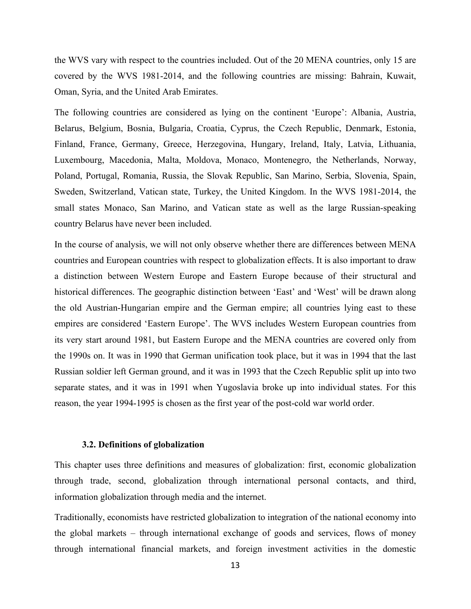the WVS vary with respect to the countries included. Out of the 20 MENA countries, only 15 are covered by the WVS 1981-2014, and the following countries are missing: Bahrain, Kuwait, Oman, Syria, and the United Arab Emirates.

The following countries are considered as lying on the continent 'Europe': Albania, Austria, Belarus, Belgium, Bosnia, Bulgaria, Croatia, Cyprus, the Czech Republic, Denmark, Estonia, Finland, France, Germany, Greece, Herzegovina, Hungary, Ireland, Italy, Latvia, Lithuania, Luxembourg, Macedonia, Malta, Moldova, Monaco, Montenegro, the Netherlands, Norway, Poland, Portugal, Romania, Russia, the Slovak Republic, San Marino, Serbia, Slovenia, Spain, Sweden, Switzerland, Vatican state, Turkey, the United Kingdom. In the WVS 1981-2014, the small states Monaco, San Marino, and Vatican state as well as the large Russian-speaking country Belarus have never been included.

In the course of analysis, we will not only observe whether there are differences between MENA countries and European countries with respect to globalization effects. It is also important to draw a distinction between Western Europe and Eastern Europe because of their structural and historical differences. The geographic distinction between 'East' and 'West' will be drawn along the old Austrian-Hungarian empire and the German empire; all countries lying east to these empires are considered 'Eastern Europe'. The WVS includes Western European countries from its very start around 1981, but Eastern Europe and the MENA countries are covered only from the 1990s on. It was in 1990 that German unification took place, but it was in 1994 that the last Russian soldier left German ground, and it was in 1993 that the Czech Republic split up into two separate states, and it was in 1991 when Yugoslavia broke up into individual states. For this reason, the year 1994-1995 is chosen as the first year of the post-cold war world order.

#### **3.2. Definitions of globalization**

This chapter uses three definitions and measures of globalization: first, economic globalization through trade, second, globalization through international personal contacts, and third, information globalization through media and the internet.

Traditionally, economists have restricted globalization to integration of the national economy into the global markets – through international exchange of goods and services, flows of money through international financial markets, and foreign investment activities in the domestic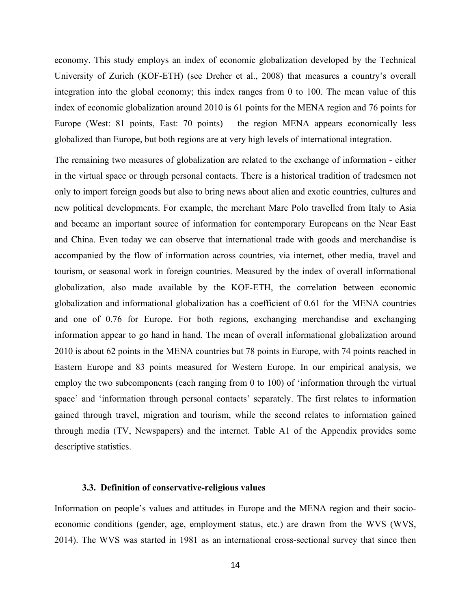economy. This study employs an index of economic globalization developed by the Technical University of Zurich (KOF-ETH) (see Dreher et al., 2008) that measures a country's overall integration into the global economy; this index ranges from 0 to 100. The mean value of this index of economic globalization around 2010 is 61 points for the MENA region and 76 points for Europe (West: 81 points, East: 70 points) – the region MENA appears economically less globalized than Europe, but both regions are at very high levels of international integration.

The remaining two measures of globalization are related to the exchange of information - either in the virtual space or through personal contacts. There is a historical tradition of tradesmen not only to import foreign goods but also to bring news about alien and exotic countries, cultures and new political developments. For example, the merchant Marc Polo travelled from Italy to Asia and became an important source of information for contemporary Europeans on the Near East and China. Even today we can observe that international trade with goods and merchandise is accompanied by the flow of information across countries, via internet, other media, travel and tourism, or seasonal work in foreign countries. Measured by the index of overall informational globalization, also made available by the KOF-ETH, the correlation between economic globalization and informational globalization has a coefficient of 0.61 for the MENA countries and one of 0.76 for Europe. For both regions, exchanging merchandise and exchanging information appear to go hand in hand. The mean of overall informational globalization around 2010 is about 62 points in the MENA countries but 78 points in Europe, with 74 points reached in Eastern Europe and 83 points measured for Western Europe. In our empirical analysis, we employ the two subcomponents (each ranging from 0 to 100) of 'information through the virtual space' and 'information through personal contacts' separately. The first relates to information gained through travel, migration and tourism, while the second relates to information gained through media (TV, Newspapers) and the internet. Table A1 of the Appendix provides some descriptive statistics.

#### **3.3. Definition of conservative-religious values**

Information on people's values and attitudes in Europe and the MENA region and their socioeconomic conditions (gender, age, employment status, etc.) are drawn from the WVS (WVS, 2014). The WVS was started in 1981 as an international cross-sectional survey that since then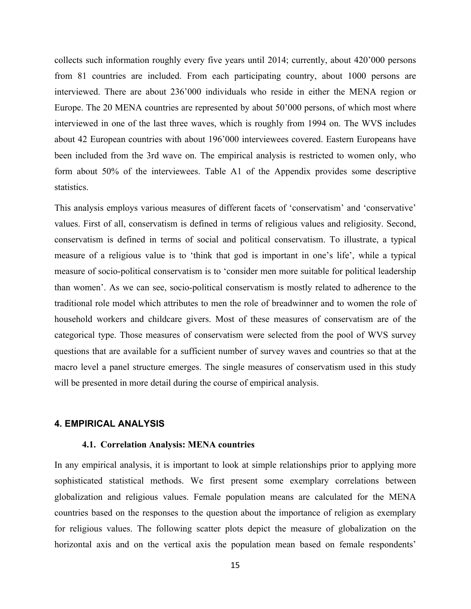collects such information roughly every five years until 2014; currently, about 420'000 persons from 81 countries are included. From each participating country, about 1000 persons are interviewed. There are about 236'000 individuals who reside in either the MENA region or Europe. The 20 MENA countries are represented by about 50'000 persons, of which most where interviewed in one of the last three waves, which is roughly from 1994 on. The WVS includes about 42 European countries with about 196'000 interviewees covered. Eastern Europeans have been included from the 3rd wave on. The empirical analysis is restricted to women only, who form about 50% of the interviewees. Table A1 of the Appendix provides some descriptive statistics.

This analysis employs various measures of different facets of 'conservatism' and 'conservative' values. First of all, conservatism is defined in terms of religious values and religiosity. Second, conservatism is defined in terms of social and political conservatism. To illustrate, a typical measure of a religious value is to 'think that god is important in one's life', while a typical measure of socio-political conservatism is to 'consider men more suitable for political leadership than women'. As we can see, socio-political conservatism is mostly related to adherence to the traditional role model which attributes to men the role of breadwinner and to women the role of household workers and childcare givers. Most of these measures of conservatism are of the categorical type. Those measures of conservatism were selected from the pool of WVS survey questions that are available for a sufficient number of survey waves and countries so that at the macro level a panel structure emerges. The single measures of conservatism used in this study will be presented in more detail during the course of empirical analysis.

## **4. EMPIRICAL ANALYSIS**

#### **4.1. Correlation Analysis: MENA countries**

In any empirical analysis, it is important to look at simple relationships prior to applying more sophisticated statistical methods. We first present some exemplary correlations between globalization and religious values. Female population means are calculated for the MENA countries based on the responses to the question about the importance of religion as exemplary for religious values. The following scatter plots depict the measure of globalization on the horizontal axis and on the vertical axis the population mean based on female respondents'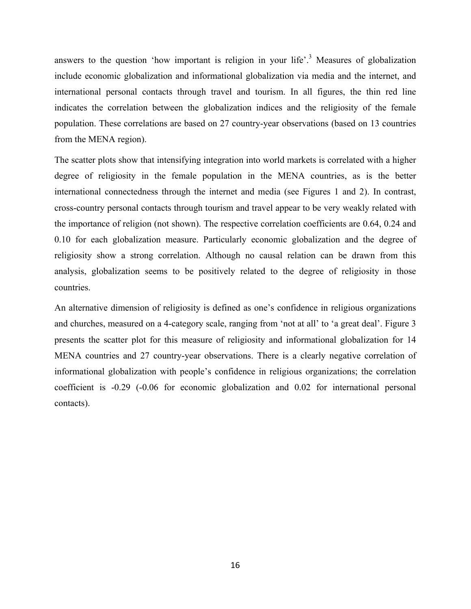answers to the question 'how important is religion in your life'.<sup>3</sup> Measures of globalization include economic globalization and informational globalization via media and the internet, and international personal contacts through travel and tourism. In all figures, the thin red line indicates the correlation between the globalization indices and the religiosity of the female population. These correlations are based on 27 country-year observations (based on 13 countries from the MENA region).

The scatter plots show that intensifying integration into world markets is correlated with a higher degree of religiosity in the female population in the MENA countries, as is the better international connectedness through the internet and media (see Figures 1 and 2). In contrast, cross-country personal contacts through tourism and travel appear to be very weakly related with the importance of religion (not shown). The respective correlation coefficients are 0.64, 0.24 and 0.10 for each globalization measure. Particularly economic globalization and the degree of religiosity show a strong correlation. Although no causal relation can be drawn from this analysis, globalization seems to be positively related to the degree of religiosity in those countries.

An alternative dimension of religiosity is defined as one's confidence in religious organizations and churches, measured on a 4-category scale, ranging from 'not at all' to 'a great deal'. Figure 3 presents the scatter plot for this measure of religiosity and informational globalization for 14 MENA countries and 27 country-year observations. There is a clearly negative correlation of informational globalization with people's confidence in religious organizations; the correlation coefficient is -0.29 (-0.06 for economic globalization and 0.02 for international personal contacts).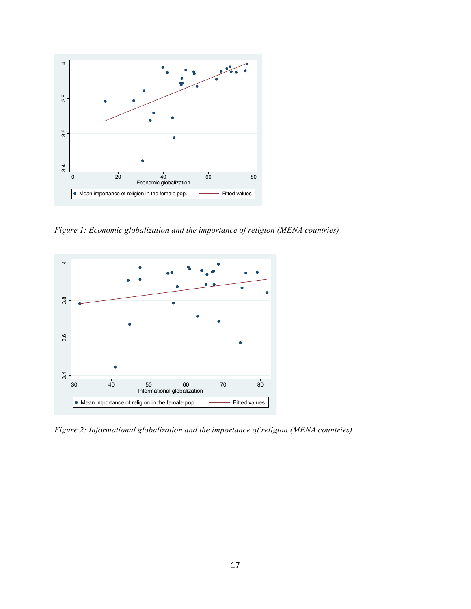

*Figure 1: Economic globalization and the importance of religion (MENA countries)* 

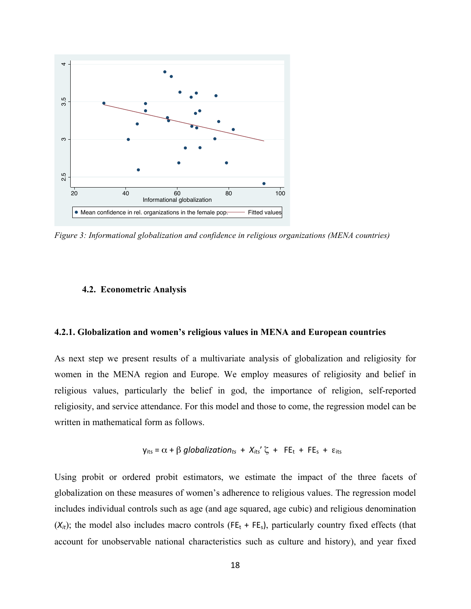

*Figure 3: Informational globalization and confidence in religious organizations (MENA countries)*

#### **4.2. Econometric Analysis**

#### **4.2.1. Globalization and women's religious values in MENA and European countries**

As next step we present results of a multivariate analysis of globalization and religiosity for women in the MENA region and Europe. We employ measures of religiosity and belief in religious values, particularly the belief in god, the importance of religion, self-reported religiosity, and service attendance. For this model and those to come, the regression model can be written in mathematical form as follows.

$$
y_{its} = \alpha + \beta
$$
 globalization<sub>ts</sub> +  $X_{its}' \zeta$  + FE<sub>t</sub> + FE<sub>s</sub> +  $\varepsilon_{its}$ 

Using probit or ordered probit estimators, we estimate the impact of the three facets of globalization on these measures of women's adherence to religious values. The regression model includes individual controls such as age (and age squared, age cubic) and religious denomination  $(X_{it})$ ; the model also includes macro controls (FE<sub>t</sub> + FE<sub>s</sub>), particularly country fixed effects (that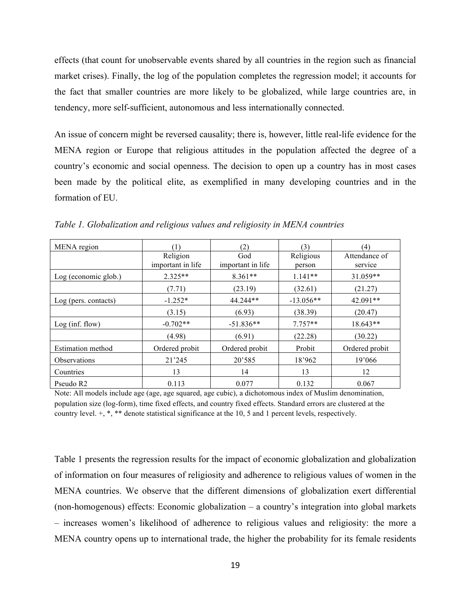effects (that count for unobservable events shared by all countries in the region such as financial market crises). Finally, the log of the population completes the regression model; it accounts for the fact that smaller countries are more likely to be globalized, while large countries are, in tendency, more self-sufficient, autonomous and less internationally connected.

An issue of concern might be reversed causality; there is, however, little real-life evidence for the MENA region or Europe that religious attitudes in the population affected the degree of a country's economic and social openness. The decision to open up a country has in most cases been made by the political elite, as exemplified in many developing countries and in the formation of EU.

| MENA region              | (1)                           | (2)                      | (3)                 | (4)                      |
|--------------------------|-------------------------------|--------------------------|---------------------|--------------------------|
|                          | Religion<br>important in life | God<br>important in life | Religious<br>person | Attendance of<br>service |
| Log (economic glob.)     | $2.325**$                     | $8.361**$                | $1.141**$           | 31.059**                 |
|                          | (7.71)                        | (23.19)                  | (32.61)             | (21.27)                  |
| Log (pers. contacts)     | $-1.252*$                     | 44.244**                 | $-13.056**$         | $42.091**$               |
|                          | (3.15)                        | (6.93)                   | (38.39)             | (20.47)                  |
| Log(int flow)            | $-0.702**$                    | $-51.836**$              | $7.757**$           | 18.643**                 |
|                          | (4.98)                        | (6.91)                   | (22.28)             | (30.22)                  |
| <b>Estimation method</b> | Ordered probit                | Ordered probit           | Probit              | Ordered probit           |
| <b>Observations</b>      | 21'245                        | 20'585                   | 18'962              | 19'066                   |
| Countries                | 13                            | 14                       | 13                  | 12                       |
| Pseudo R <sub>2</sub>    | 0.113                         | 0.077                    | 0.132               | 0.067                    |

*Table 1. Globalization and religious values and religiosity in MENA countries* 

Note: All models include age (age, age squared, age cubic), a dichotomous index of Muslim denomination, population size (log-form), time fixed effects, and country fixed effects. Standard errors are clustered at the country level. +, \*, \*\* denote statistical significance at the 10, 5 and 1 percent levels, respectively.

Table 1 presents the regression results for the impact of economic globalization and globalization of information on four measures of religiosity and adherence to religious values of women in the MENA countries. We observe that the different dimensions of globalization exert differential (non-homogenous) effects: Economic globalization – a country's integration into global markets – increases women's likelihood of adherence to religious values and religiosity: the more a MENA country opens up to international trade, the higher the probability for its female residents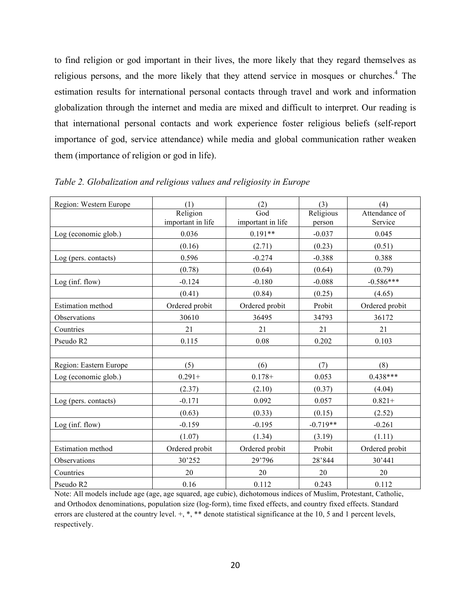to find religion or god important in their lives, the more likely that they regard themselves as religious persons, and the more likely that they attend service in mosques or churches.<sup>4</sup> The estimation results for international personal contacts through travel and work and information globalization through the internet and media are mixed and difficult to interpret. Our reading is that international personal contacts and work experience foster religious beliefs (self-report importance of god, service attendance) while media and global communication rather weaken them (importance of religion or god in life).

| Region: Western Europe   | (1)               | (2)               | (3)        | (4)            |
|--------------------------|-------------------|-------------------|------------|----------------|
|                          | Religion          | God               | Religious  | Attendance of  |
|                          | important in life | important in life | person     | Service        |
| Log (economic glob.)     | 0.036             | $0.191**$         | $-0.037$   | 0.045          |
|                          | (0.16)            | (2.71)            | (0.23)     | (0.51)         |
| Log (pers. contacts)     | 0.596             | $-0.274$          | $-0.388$   | 0.388          |
|                          | (0.78)            | (0.64)            | (0.64)     | (0.79)         |
| Log (inf. flow)          | $-0.124$          | $-0.180$          | $-0.088$   | $-0.586***$    |
|                          | (0.41)            | (0.84)            | (0.25)     | (4.65)         |
| <b>Estimation method</b> | Ordered probit    | Ordered probit    | Probit     | Ordered probit |
| Observations             | 30610             | 36495             | 34793      | 36172          |
| Countries                | 21                | 21                | 21         | 21             |
| Pseudo R2                | 0.115             | 0.08              | 0.202      | 0.103          |
|                          |                   |                   |            |                |
| Region: Eastern Europe   | (5)               | (6)               | (7)        | (8)            |
| Log (economic glob.)     | $0.291 +$         | $0.178 +$         | 0.053      | $0.438***$     |
|                          | (2.37)            | (2.10)            | (0.37)     | (4.04)         |
| Log (pers. contacts)     | $-0.171$          | 0.092             | 0.057      | $0.821 +$      |
|                          | (0.63)            | (0.33)            | (0.15)     | (2.52)         |
| Log (inf. flow)          | $-0.159$          | $-0.195$          | $-0.719**$ | $-0.261$       |
|                          | (1.07)            | (1.34)            | (3.19)     | (1.11)         |
| Estimation method        | Ordered probit    | Ordered probit    | Probit     | Ordered probit |
| Observations             | 30'252            | 29'796            | 28'844     | 30'441         |
| Countries                | 20                | 20                | 20         | 20             |
| Pseudo R2                | 0.16              | 0.112             | 0.243      | 0.112          |

*Table 2. Globalization and religious values and religiosity in Europe* 

Note: All models include age (age, age squared, age cubic), dichotomous indices of Muslim, Protestant, Catholic, and Orthodox denominations, population size (log-form), time fixed effects, and country fixed effects. Standard errors are clustered at the country level.  $+, *, *$  denote statistical significance at the 10, 5 and 1 percent levels, respectively.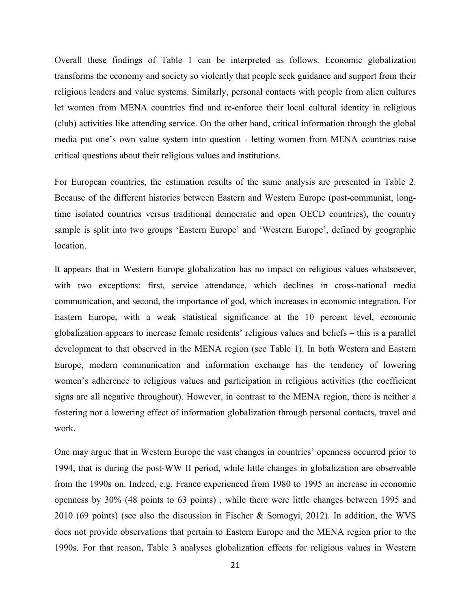Overall these findings of Table 1 can be interpreted as follows. Economic globalization transforms the economy and society so violently that people seek guidance and support from their religious leaders and value systems. Similarly, personal contacts with people from alien cultures let women from MENA countries find and re-enforce their local cultural identity in religious (club) activities like attending service. On the other hand, critical information through the global media put one's own value system into question - letting women from MENA countries raise critical questions about their religious values and institutions.

For European countries, the estimation results of the same analysis are presented in Table 2. Because of the different histories between Eastern and Western Europe (post-communist, longtime isolated countries versus traditional democratic and open OECD countries), the country sample is split into two groups 'Eastern Europe' and 'Western Europe', defined by geographic location.

It appears that in Western Europe globalization has no impact on religious values whatsoever, with two exceptions: first, service attendance, which declines in cross-national media communication, and second, the importance of god, which increases in economic integration. For Eastern Europe, with a weak statistical significance at the 10 percent level, economic globalization appears to increase female residents' religious values and beliefs – this is a parallel development to that observed in the MENA region (see Table 1). In both Western and Eastern Europe, modern communication and information exchange has the tendency of lowering women's adherence to religious values and participation in religious activities (the coefficient signs are all negative throughout). However, in contrast to the MENA region, there is neither a fostering nor a lowering effect of information globalization through personal contacts, travel and work.

One may argue that in Western Europe the vast changes in countries' openness occurred prior to 1994, that is during the post-WW II period, while little changes in globalization are observable from the 1990s on. Indeed, e.g. France experienced from 1980 to 1995 an increase in economic openness by 30% (48 points to 63 points) , while there were little changes between 1995 and 2010 (69 points) (see also the discussion in Fischer & Somogyi, 2012). In addition, the WVS does not provide observations that pertain to Eastern Europe and the MENA region prior to the 1990s. For that reason, Table 3 analyses globalization effects for religious values in Western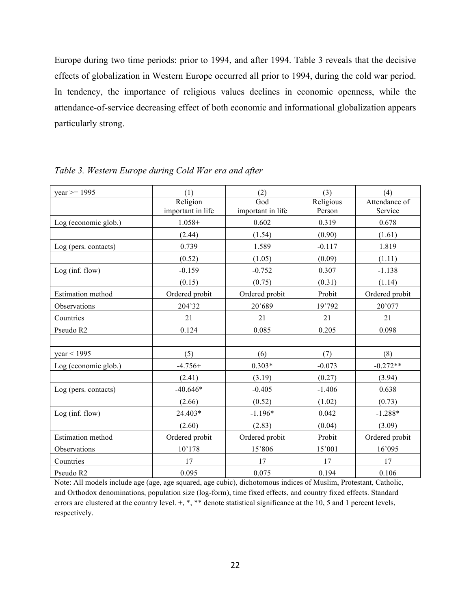Europe during two time periods: prior to 1994, and after 1994. Table 3 reveals that the decisive effects of globalization in Western Europe occurred all prior to 1994, during the cold war period. In tendency, the importance of religious values declines in economic openness, while the attendance-of-service decreasing effect of both economic and informational globalization appears particularly strong.

| $year >= 1995$           | (1)                           | (2)                                          | (3)                 | (4)                      |
|--------------------------|-------------------------------|----------------------------------------------|---------------------|--------------------------|
|                          | Religion<br>important in life | $\overline{\text{God}}$<br>important in life | Religious<br>Person | Attendance of<br>Service |
| Log (economic glob.)     | $1.058+$                      | 0.602                                        | 0.319               | 0.678                    |
|                          | (2.44)                        | (1.54)                                       | (0.90)              | (1.61)                   |
| Log (pers. contacts)     | 0.739                         | 1.589                                        | $-0.117$            | 1.819                    |
|                          | (0.52)                        | (1.05)                                       | (0.09)              | (1.11)                   |
| Log (inf. flow)          | $-0.159$                      | $-0.752$                                     | 0.307               | $-1.138$                 |
|                          | (0.15)                        | (0.75)                                       | (0.31)              | (1.14)                   |
| Estimation method        | Ordered probit                | Ordered probit                               | Probit              | Ordered probit           |
| Observations             | 204'32                        | 20'689                                       | 19'792              | 20'077                   |
| Countries                | 21                            | 21                                           | 21                  | 21                       |
| Pseudo R2                | 0.124                         | 0.085                                        | 0.205               | 0.098                    |
|                          |                               |                                              |                     |                          |
| year < 1995              | (5)                           | (6)                                          | (7)                 | (8)                      |
| Log (economic glob.)     | $-4.756+$                     | $0.303*$                                     | $-0.073$            | $-0.272**$               |
|                          | (2.41)                        | (3.19)                                       | (0.27)              | (3.94)                   |
| Log (pers. contacts)     | $-40.646*$                    | $-0.405$                                     | $-1.406$            | 0.638                    |
|                          | (2.66)                        | (0.52)                                       | (1.02)              | (0.73)                   |
| Log (inf. flow)          | 24.403*                       | $-1.196*$                                    | 0.042               | $-1.288*$                |
|                          | (2.60)                        | (2.83)                                       | (0.04)              | (3.09)                   |
| <b>Estimation</b> method | Ordered probit                | Ordered probit                               | Probit              | Ordered probit           |
| Observations             | 10'178                        | 15'806                                       | 15'001              | 16'095                   |
| Countries                | 17                            | 17                                           | 17                  | 17                       |
| Pseudo R2                | 0.095                         | 0.075                                        | 0.194               | 0.106                    |

*Table 3. Western Europe during Cold War era and after* 

Note: All models include age (age, age squared, age cubic), dichotomous indices of Muslim, Protestant, Catholic, and Orthodox denominations, population size (log-form), time fixed effects, and country fixed effects. Standard errors are clustered at the country level.  $+, *, **$  denote statistical significance at the 10, 5 and 1 percent levels, respectively.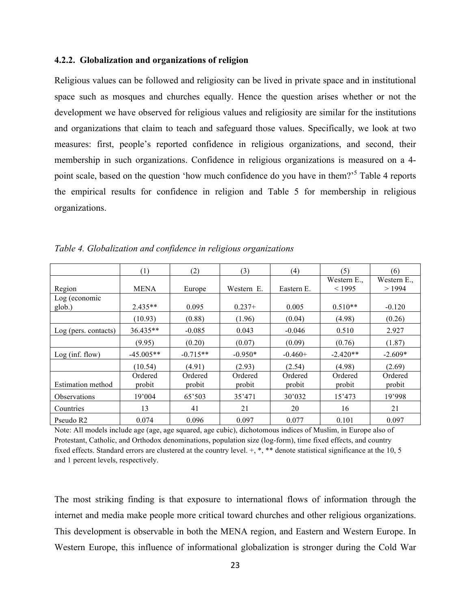#### **4.2.2. Globalization and organizations of religion**

Religious values can be followed and religiosity can be lived in private space and in institutional space such as mosques and churches equally. Hence the question arises whether or not the development we have observed for religious values and religiosity are similar for the institutions and organizations that claim to teach and safeguard those values. Specifically, we look at two measures: first, people's reported confidence in religious organizations, and second, their membership in such organizations. Confidence in religious organizations is measured on a 4 point scale, based on the question 'how much confidence do you have in them?<sup>5</sup> Table 4 reports the empirical results for confidence in religion and Table 5 for membership in religious organizations.

|                          | (1)               | (2)               | (3)               | (4)               | (5)                   | (6)                  |
|--------------------------|-------------------|-------------------|-------------------|-------------------|-----------------------|----------------------|
| Region                   | <b>MENA</b>       | Europe            | Western E.        | Eastern E.        | Western E.,<br>< 1995 | Western E.,<br>>1994 |
| Log (economic            |                   |                   |                   |                   |                       |                      |
| glob.)                   | $2.435**$         | 0.095             | $0.237+$          | 0.005             | $0.510**$             | $-0.120$             |
|                          | (10.93)           | (0.88)            | (1.96)            | (0.04)            | (4.98)                | (0.26)               |
| Log (pers. contacts)     | $36.435**$        | $-0.085$          | 0.043             | $-0.046$          | 0.510                 | 2.927                |
|                          | (9.95)            | (0.20)            | (0.07)            | (0.09)            | (0.76)                | (1.87)               |
| Log (inf. flow)          | $-45.005**$       | $-0.715**$        | $-0.950*$         | $-0.460+$         | $-2.420**$            | $-2.609*$            |
|                          | (10.54)           | (4.91)            | (2.93)            | (2.54)            | (4.98)                | (2.69)               |
| <b>Estimation method</b> | Ordered<br>probit | Ordered<br>probit | Ordered<br>probit | Ordered<br>probit | Ordered<br>probit     | Ordered<br>probit    |
| <b>Observations</b>      | 19'004            | 65'503            | 35'471            | 30'032            | 15'473                | 19'998               |
| Countries                | 13                | 41                | 21                | 20                | 16                    | 21                   |
| Pseudo R <sub>2</sub>    | 0.074             | 0.096             | 0.097             | 0.077             | 0.101                 | 0.097                |

*Table 4. Globalization and confidence in religious organizations* 

Note: All models include age (age, age squared, age cubic), dichotomous indices of Muslim, in Europe also of Protestant, Catholic, and Orthodox denominations, population size (log-form), time fixed effects, and country fixed effects. Standard errors are clustered at the country level.  $+$ , \*, \*\* denote statistical significance at the 10, 5 and 1 percent levels, respectively.

The most striking finding is that exposure to international flows of information through the internet and media make people more critical toward churches and other religious organizations. This development is observable in both the MENA region, and Eastern and Western Europe. In Western Europe, this influence of informational globalization is stronger during the Cold War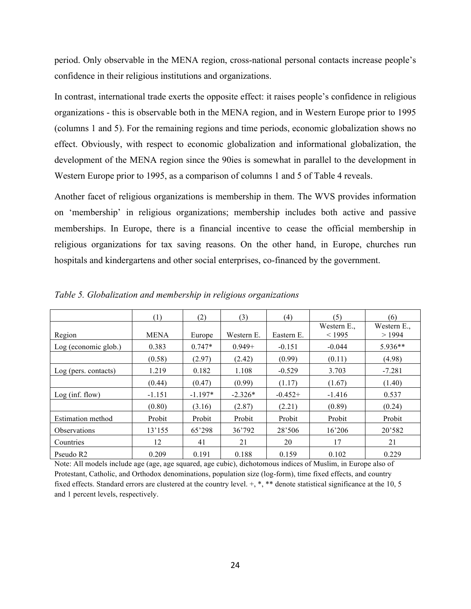period. Only observable in the MENA region, cross-national personal contacts increase people's confidence in their religious institutions and organizations.

In contrast, international trade exerts the opposite effect: it raises people's confidence in religious organizations - this is observable both in the MENA region, and in Western Europe prior to 1995 (columns 1 and 5). For the remaining regions and time periods, economic globalization shows no effect. Obviously, with respect to economic globalization and informational globalization, the development of the MENA region since the 90ies is somewhat in parallel to the development in Western Europe prior to 1995, as a comparison of columns 1 and 5 of Table 4 reveals.

Another facet of religious organizations is membership in them. The WVS provides information on 'membership' in religious organizations; membership includes both active and passive memberships. In Europe, there is a financial incentive to cease the official membership in religious organizations for tax saving reasons. On the other hand, in Europe, churches run hospitals and kindergartens and other social enterprises, co-financed by the government.

|                       | (1)         | (2)       | (3)        | (4)        | (5)         | (6)         |
|-----------------------|-------------|-----------|------------|------------|-------------|-------------|
|                       |             |           |            |            | Western E., | Western E., |
| Region                | <b>MENA</b> | Europe    | Western E. | Eastern E. | < 1995      | >1994       |
| Log (economic glob.)  | 0.383       | $0.747*$  | $0.949 +$  | $-0.151$   | $-0.044$    | $5.936**$   |
|                       | (0.58)      | (2.97)    | (2.42)     | (0.99)     | (0.11)      | (4.98)      |
| Log (pers. contacts)  | 1.219       | 0.182     | 1.108      | $-0.529$   | 3.703       | $-7.281$    |
|                       | (0.44)      | (0.47)    | (0.99)     | (1.17)     | (1.67)      | (1.40)      |
| Log (inf. flow)       | $-1.151$    | $-1.197*$ | $-2.326*$  | $-0.452+$  | $-1.416$    | 0.537       |
|                       | (0.80)      | (3.16)    | (2.87)     | (2.21)     | (0.89)      | (0.24)      |
| Estimation method     | Probit      | Probit    | Probit     | Probit     | Probit      | Probit      |
| <b>Observations</b>   | 13'155      | 65'298    | 36'792     | 28'506     | 16'206      | 20'582      |
| Countries             | 12          | 41        | 21         | 20         | 17          | 21          |
| Pseudo R <sub>2</sub> | 0.209       | 0.191     | 0.188      | 0.159      | 0.102       | 0.229       |

*Table 5. Globalization and membership in religious organizations* 

Note: All models include age (age, age squared, age cubic), dichotomous indices of Muslim, in Europe also of Protestant, Catholic, and Orthodox denominations, population size (log-form), time fixed effects, and country fixed effects. Standard errors are clustered at the country level. +, \*, \*\* denote statistical significance at the 10, 5 and 1 percent levels, respectively.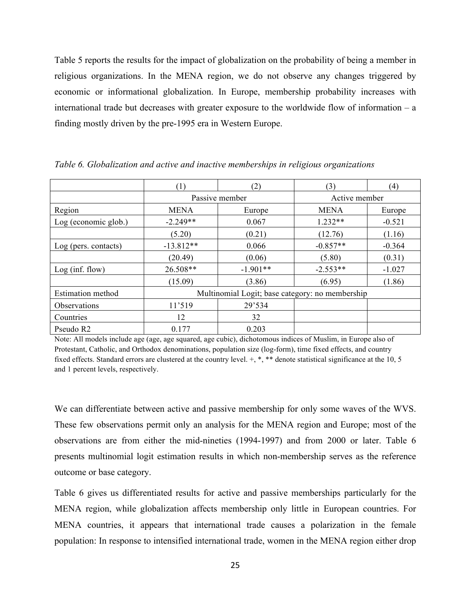Table 5 reports the results for the impact of globalization on the probability of being a member in religious organizations. In the MENA region, we do not observe any changes triggered by economic or informational globalization. In Europe, membership probability increases with international trade but decreases with greater exposure to the worldwide flow of information – a finding mostly driven by the pre-1995 era in Western Europe.

|                          | (1)         | (2)                                             | (3)           | (4)      |
|--------------------------|-------------|-------------------------------------------------|---------------|----------|
|                          |             | Passive member                                  | Active member |          |
| Region                   | <b>MENA</b> | Europe                                          | <b>MENA</b>   | Europe   |
| Log (economic glob.)     | $-2.249**$  | 0.067                                           | $1.232**$     | $-0.521$ |
|                          | (5.20)      | (0.21)                                          | (12.76)       | (1.16)   |
| Log (pers. contacts)     | $-13.812**$ | 0.066                                           | $-0.857**$    | $-0.364$ |
|                          | (20.49)     | (0.06)                                          | (5.80)        | (0.31)   |
| Log(int flow)            | 26.508**    | $-1.901**$                                      | $-2.553**$    | $-1.027$ |
|                          | (15.09)     | (3.86)                                          | (6.95)        | (1.86)   |
| <b>Estimation method</b> |             | Multinomial Logit; base category: no membership |               |          |
| Observations             | 11'519      | 29'534                                          |               |          |
| Countries                | 12          | 32                                              |               |          |
| Pseudo R2                | 0.177       | 0.203                                           |               |          |

*Table 6. Globalization and active and inactive memberships in religious organizations* 

Note: All models include age (age, age squared, age cubic), dichotomous indices of Muslim, in Europe also of Protestant, Catholic, and Orthodox denominations, population size (log-form), time fixed effects, and country fixed effects. Standard errors are clustered at the country level. +, \*, \*\* denote statistical significance at the 10, 5 and 1 percent levels, respectively.

We can differentiate between active and passive membership for only some waves of the WVS. These few observations permit only an analysis for the MENA region and Europe; most of the observations are from either the mid-nineties (1994-1997) and from 2000 or later. Table 6 presents multinomial logit estimation results in which non-membership serves as the reference outcome or base category.

Table 6 gives us differentiated results for active and passive memberships particularly for the MENA region, while globalization affects membership only little in European countries. For MENA countries, it appears that international trade causes a polarization in the female population: In response to intensified international trade, women in the MENA region either drop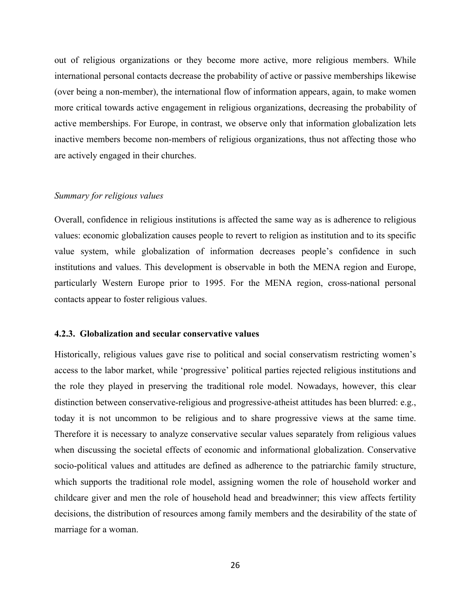out of religious organizations or they become more active, more religious members. While international personal contacts decrease the probability of active or passive memberships likewise (over being a non-member), the international flow of information appears, again, to make women more critical towards active engagement in religious organizations, decreasing the probability of active memberships. For Europe, in contrast, we observe only that information globalization lets inactive members become non-members of religious organizations, thus not affecting those who are actively engaged in their churches.

#### *Summary for religious values*

Overall, confidence in religious institutions is affected the same way as is adherence to religious values: economic globalization causes people to revert to religion as institution and to its specific value system, while globalization of information decreases people's confidence in such institutions and values. This development is observable in both the MENA region and Europe, particularly Western Europe prior to 1995. For the MENA region, cross-national personal contacts appear to foster religious values.

#### **4.2.3. Globalization and secular conservative values**

Historically, religious values gave rise to political and social conservatism restricting women's access to the labor market, while 'progressive' political parties rejected religious institutions and the role they played in preserving the traditional role model. Nowadays, however, this clear distinction between conservative-religious and progressive-atheist attitudes has been blurred: e.g., today it is not uncommon to be religious and to share progressive views at the same time. Therefore it is necessary to analyze conservative secular values separately from religious values when discussing the societal effects of economic and informational globalization. Conservative socio-political values and attitudes are defined as adherence to the patriarchic family structure, which supports the traditional role model, assigning women the role of household worker and childcare giver and men the role of household head and breadwinner; this view affects fertility decisions, the distribution of resources among family members and the desirability of the state of marriage for a woman.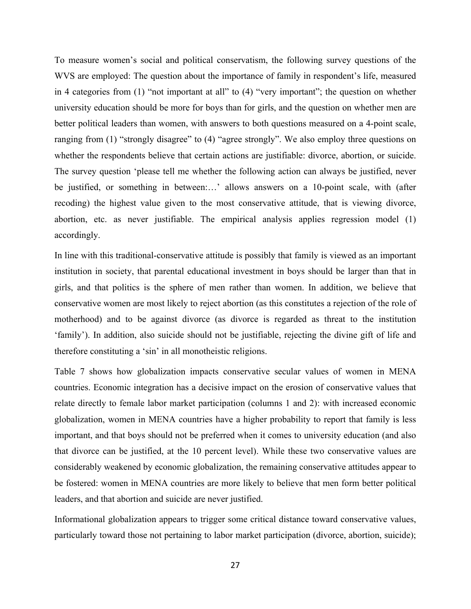To measure women's social and political conservatism, the following survey questions of the WVS are employed: The question about the importance of family in respondent's life, measured in 4 categories from (1) "not important at all" to (4) "very important"; the question on whether university education should be more for boys than for girls, and the question on whether men are better political leaders than women, with answers to both questions measured on a 4-point scale, ranging from (1) "strongly disagree" to (4) "agree strongly". We also employ three questions on whether the respondents believe that certain actions are justifiable: divorce, abortion, or suicide. The survey question 'please tell me whether the following action can always be justified, never be justified, or something in between:…' allows answers on a 10-point scale, with (after recoding) the highest value given to the most conservative attitude, that is viewing divorce, abortion, etc. as never justifiable. The empirical analysis applies regression model (1) accordingly.

In line with this traditional-conservative attitude is possibly that family is viewed as an important institution in society, that parental educational investment in boys should be larger than that in girls, and that politics is the sphere of men rather than women. In addition, we believe that conservative women are most likely to reject abortion (as this constitutes a rejection of the role of motherhood) and to be against divorce (as divorce is regarded as threat to the institution 'family'). In addition, also suicide should not be justifiable, rejecting the divine gift of life and therefore constituting a 'sin' in all monotheistic religions.

Table 7 shows how globalization impacts conservative secular values of women in MENA countries. Economic integration has a decisive impact on the erosion of conservative values that relate directly to female labor market participation (columns 1 and 2): with increased economic globalization, women in MENA countries have a higher probability to report that family is less important, and that boys should not be preferred when it comes to university education (and also that divorce can be justified, at the 10 percent level). While these two conservative values are considerably weakened by economic globalization, the remaining conservative attitudes appear to be fostered: women in MENA countries are more likely to believe that men form better political leaders, and that abortion and suicide are never justified.

Informational globalization appears to trigger some critical distance toward conservative values, particularly toward those not pertaining to labor market participation (divorce, abortion, suicide);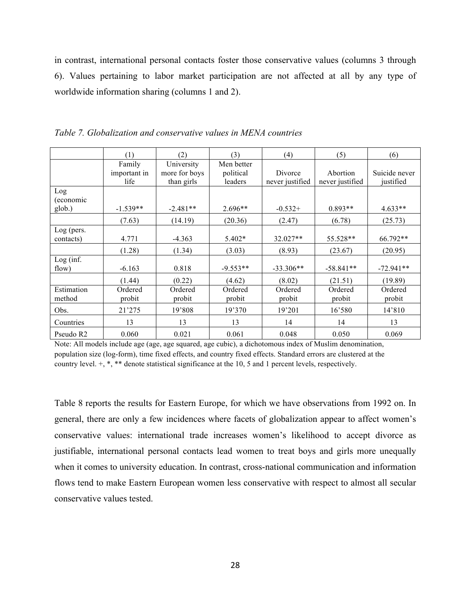in contrast, international personal contacts foster those conservative values (columns 3 through 6). Values pertaining to labor market participation are not affected at all by any type of worldwide information sharing (columns 1 and 2).

|                            | (1)                            | (2)                                       | (3)                                | (4)                        | (5)                         | (6)                        |
|----------------------------|--------------------------------|-------------------------------------------|------------------------------------|----------------------------|-----------------------------|----------------------------|
|                            | Family<br>important in<br>life | University<br>more for boys<br>than girls | Men better<br>political<br>leaders | Divorce<br>never justified | Abortion<br>never justified | Suicide never<br>justified |
| Log<br>(economic<br>glob.) | $-1.539**$                     | $-2.481**$                                | $2.696**$                          | $-0.532+$                  | $0.893**$                   | $4.633**$                  |
|                            | (7.63)                         | (14.19)                                   | (20.36)                            | (2.47)                     | (6.78)                      | (25.73)                    |
| Log (pers.<br>contacts)    | 4.771                          | $-4.363$                                  | 5.402*                             | 32.027**                   | 55.528**                    | 66.792**                   |
|                            | (1.28)                         | (1.34)                                    | (3.03)                             | (8.93)                     | (23.67)                     | (20.95)                    |
| Log (inf.<br>flow)         | $-6.163$                       | 0.818                                     | $-9.553**$                         | $-33.306**$                | $-58.841**$                 | $-72.941**$                |
|                            | (1.44)                         | (0.22)                                    | (4.62)                             | (8.02)                     | (21.51)                     | (19.89)                    |
| Estimation<br>method       | Ordered<br>probit              | Ordered<br>probit                         | Ordered<br>probit                  | Ordered<br>probit          | Ordered<br>probit           | Ordered<br>probit          |
| Obs.                       | 21'275                         | 19'808                                    | 19'370                             | 19'201                     | 16'580                      | 14'810                     |
| Countries                  | 13                             | 13                                        | 13                                 | 14                         | 14                          | 13                         |
| Pseudo R2                  | 0.060                          | 0.021                                     | 0.061                              | 0.048                      | 0.050                       | 0.069                      |

*Table 7. Globalization and conservative values in MENA countries* 

Note: All models include age (age, age squared, age cubic), a dichotomous index of Muslim denomination, population size (log-form), time fixed effects, and country fixed effects. Standard errors are clustered at the country level. +, \*, \*\* denote statistical significance at the 10, 5 and 1 percent levels, respectively.

Table 8 reports the results for Eastern Europe, for which we have observations from 1992 on. In general, there are only a few incidences where facets of globalization appear to affect women's conservative values: international trade increases women's likelihood to accept divorce as justifiable, international personal contacts lead women to treat boys and girls more unequally when it comes to university education. In contrast, cross-national communication and information flows tend to make Eastern European women less conservative with respect to almost all secular conservative values tested.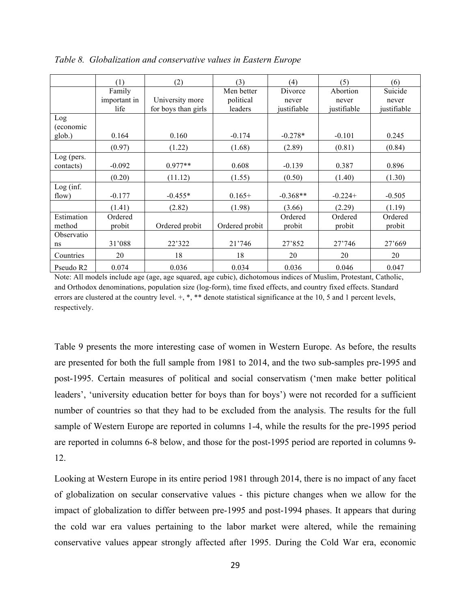|                       | (1)          | (2)                 | (3)            | (4)         | (5)         | (6)         |
|-----------------------|--------------|---------------------|----------------|-------------|-------------|-------------|
|                       | Family       |                     | Men better     | Divorce     | Abortion    | Suicide     |
|                       | important in | University more     | political      | never       | never       | never       |
|                       | life         | for boys than girls | leaders        | justifiable | justifiable | justifiable |
| Log                   |              |                     |                |             |             |             |
| (economic             |              |                     |                |             |             |             |
| glob.)                | 0.164        | 0.160               | $-0.174$       | $-0.278*$   | $-0.101$    | 0.245       |
|                       | (0.97)       | (1.22)              | (1.68)         | (2.89)      | (0.81)      | (0.84)      |
| Log (pers.            |              |                     |                |             |             |             |
| contacts)             | $-0.092$     | $0.977**$           | 0.608          | $-0.139$    | 0.387       | 0.896       |
|                       | (0.20)       | (11.12)             | (1.55)         | (0.50)      | (1.40)      | (1.30)      |
| Log (inf.             |              |                     |                |             |             |             |
| flow)                 | $-0.177$     | $-0.455*$           | $0.165+$       | $-0.368**$  | $-0.224+$   | $-0.505$    |
|                       | (1.41)       | (2.82)              | (1.98)         | (3.66)      | (2.29)      | (1.19)      |
| Estimation            | Ordered      |                     |                | Ordered     | Ordered     | Ordered     |
| method                | probit       | Ordered probit      | Ordered probit | probit      | probit      | probit      |
| Observatio            |              |                     |                |             |             |             |
| ns                    | 31'088       | 22'322              | 21'746         | 27'852      | 27'746      | 27'669      |
| Countries             | 20           | 18                  | 18             | 20          | 20          | 20          |
| Pseudo R <sub>2</sub> | 0.074        | 0.036               | 0.034          | 0.036       | 0.046       | 0.047       |

*Table 8. Globalization and conservative values in Eastern Europe* 

Note: All models include age (age, age squared, age cubic), dichotomous indices of Muslim, Protestant, Catholic, and Orthodox denominations, population size (log-form), time fixed effects, and country fixed effects. Standard errors are clustered at the country level.  $+, *, **$  denote statistical significance at the 10, 5 and 1 percent levels, respectively.

Table 9 presents the more interesting case of women in Western Europe. As before, the results are presented for both the full sample from 1981 to 2014, and the two sub-samples pre-1995 and post-1995. Certain measures of political and social conservatism ('men make better political leaders', 'university education better for boys than for boys') were not recorded for a sufficient number of countries so that they had to be excluded from the analysis. The results for the full sample of Western Europe are reported in columns 1-4, while the results for the pre-1995 period are reported in columns 6-8 below, and those for the post-1995 period are reported in columns 9- 12.

Looking at Western Europe in its entire period 1981 through 2014, there is no impact of any facet of globalization on secular conservative values - this picture changes when we allow for the impact of globalization to differ between pre-1995 and post-1994 phases. It appears that during the cold war era values pertaining to the labor market were altered, while the remaining conservative values appear strongly affected after 1995. During the Cold War era, economic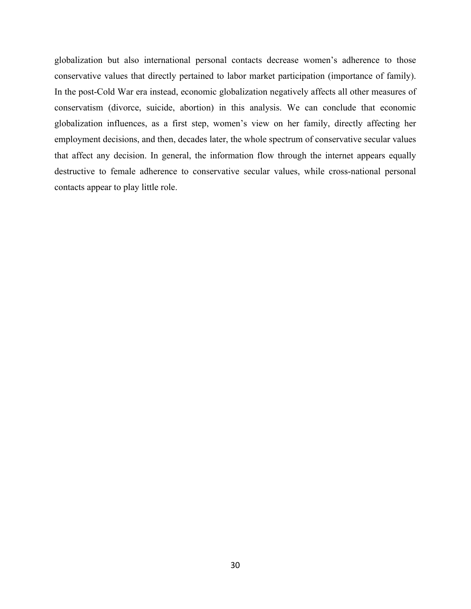globalization but also international personal contacts decrease women's adherence to those conservative values that directly pertained to labor market participation (importance of family). In the post-Cold War era instead, economic globalization negatively affects all other measures of conservatism (divorce, suicide, abortion) in this analysis. We can conclude that economic globalization influences, as a first step, women's view on her family, directly affecting her employment decisions, and then, decades later, the whole spectrum of conservative secular values that affect any decision. In general, the information flow through the internet appears equally destructive to female adherence to conservative secular values, while cross-national personal contacts appear to play little role.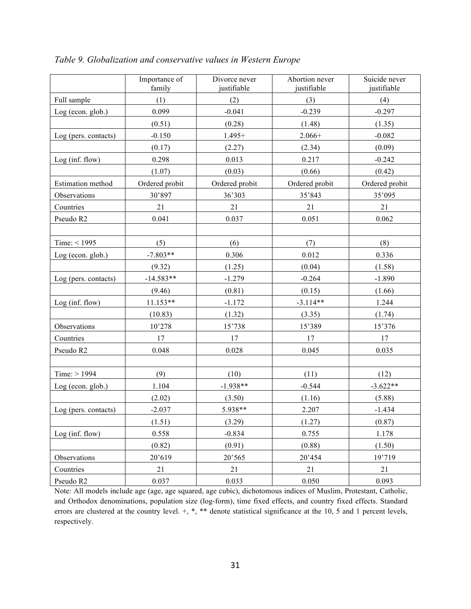|                      | Importance of<br>family | Divorce never<br>justifiable | Abortion never<br>justifiable | Suicide never<br>justifiable |
|----------------------|-------------------------|------------------------------|-------------------------------|------------------------------|
| Full sample          | (1)                     | (2)                          | (3)                           | (4)                          |
| Log (econ. glob.)    | 0.099                   | $-0.041$                     | $-0.239$                      | $-0.297$                     |
|                      | (0.51)                  | (0.28)                       | (1.48)                        | (1.35)                       |
| Log (pers. contacts) | $-0.150$                | $1.495+$                     | $2.066+$                      | $-0.082$                     |
|                      | (0.17)                  | (2.27)                       | (2.34)                        | (0.09)                       |
| Log (inf. flow)      | 0.298                   | 0.013                        | 0.217                         | $-0.242$                     |
|                      | (1.07)                  | (0.03)                       | (0.66)                        | (0.42)                       |
| Estimation method    | Ordered probit          | Ordered probit               | Ordered probit                | Ordered probit               |
| Observations         | 30'897                  | 36'303                       | 35'843                        | 35'095                       |
| Countries            | 21                      | 21                           | 21                            | 21                           |
| Pseudo R2            | 0.041                   | 0.037                        | 0.051                         | 0.062                        |
|                      |                         |                              |                               |                              |
| Time: $<$ 1995       | (5)                     | (6)                          | (7)                           | (8)                          |
| Log (econ. glob.)    | $-7.803**$              | 0.306                        | 0.012                         | 0.336                        |
|                      | (9.32)                  | (1.25)                       | (0.04)                        | (1.58)                       |
| Log (pers. contacts) | $-14.583**$             | $-1.279$                     | $-0.264$                      | $-1.890$                     |
|                      | (9.46)                  | (0.81)                       | (0.15)                        | (1.66)                       |
| Log (inf. flow)      | $11.153**$              | $-1.172$                     | $-3.114**$                    | 1.244                        |
|                      | (10.83)                 | (1.32)                       | (3.35)                        | (1.74)                       |
| Observations         | 10'278                  | 15'738                       | 15'389                        | 15'376                       |
| Countries            | 17                      | 17                           | 17                            | 17                           |
| Pseudo R2            | 0.048                   | 0.028                        | 0.045                         | 0.035                        |
|                      |                         |                              |                               |                              |
| Time: $> 1994$       | (9)                     | (10)                         | (11)                          | (12)                         |
| Log (econ. glob.)    | 1.104                   | $-1.938**$                   | $-0.544$                      | $-3.622**$                   |
|                      | (2.02)                  | (3.50)                       | (1.16)                        | (5.88)                       |
| Log (pers. contacts) | $-2.037$                | 5.938**                      | 2.207                         | $-1.434$                     |
|                      | (1.51)                  | (3.29)                       | (1.27)                        | (0.87)                       |
| Log (inf. flow)      | 0.558                   | $-0.834$                     | 0.755                         | 1.178                        |
|                      | (0.82)                  | (0.91)                       | (0.88)                        | (1.50)                       |
| Observations         | 20'619                  | 20'565                       | 20'454                        | 19'719                       |
| Countries            | 21                      | 21                           | 21                            | 21                           |
| Pseudo R2            | 0.037                   | 0.033                        | 0.050                         | 0.093                        |

*Table 9. Globalization and conservative values in Western Europe*

Note: All models include age (age, age squared, age cubic), dichotomous indices of Muslim, Protestant, Catholic, and Orthodox denominations, population size (log-form), time fixed effects, and country fixed effects. Standard errors are clustered at the country level. +, \*, \*\* denote statistical significance at the 10, 5 and 1 percent levels, respectively.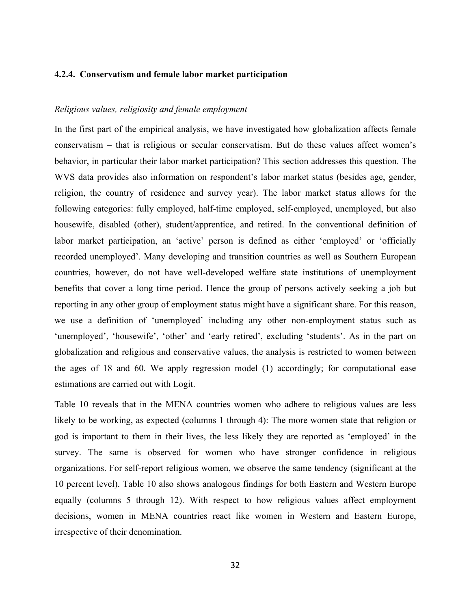## **4.2.4. Conservatism and female labor market participation**

#### *Religious values, religiosity and female employment*

In the first part of the empirical analysis, we have investigated how globalization affects female conservatism – that is religious or secular conservatism. But do these values affect women's behavior, in particular their labor market participation? This section addresses this question. The WVS data provides also information on respondent's labor market status (besides age, gender, religion, the country of residence and survey year). The labor market status allows for the following categories: fully employed, half-time employed, self-employed, unemployed, but also housewife, disabled (other), student/apprentice, and retired. In the conventional definition of labor market participation, an 'active' person is defined as either 'employed' or 'officially recorded unemployed'. Many developing and transition countries as well as Southern European countries, however, do not have well-developed welfare state institutions of unemployment benefits that cover a long time period. Hence the group of persons actively seeking a job but reporting in any other group of employment status might have a significant share. For this reason, we use a definition of 'unemployed' including any other non-employment status such as 'unemployed', 'housewife', 'other' and 'early retired', excluding 'students'. As in the part on globalization and religious and conservative values, the analysis is restricted to women between the ages of 18 and 60. We apply regression model (1) accordingly; for computational ease estimations are carried out with Logit.

Table 10 reveals that in the MENA countries women who adhere to religious values are less likely to be working, as expected (columns 1 through 4): The more women state that religion or god is important to them in their lives, the less likely they are reported as 'employed' in the survey. The same is observed for women who have stronger confidence in religious organizations. For self-report religious women, we observe the same tendency (significant at the 10 percent level). Table 10 also shows analogous findings for both Eastern and Western Europe equally (columns 5 through 12). With respect to how religious values affect employment decisions, women in MENA countries react like women in Western and Eastern Europe, irrespective of their denomination.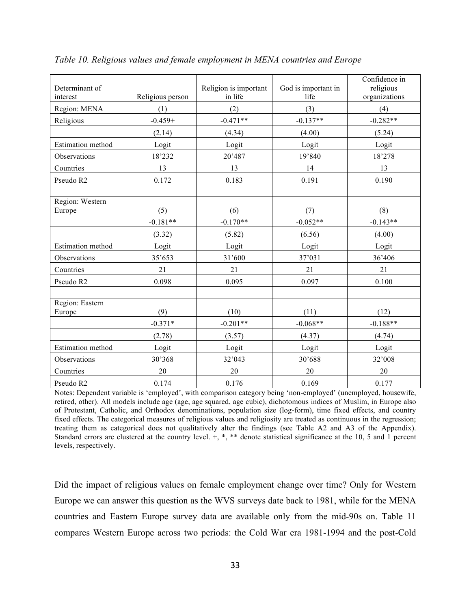| Determinant of<br>interest | Religious person | Religion is important<br>in life | God is important in<br>life | Confidence in<br>religious<br>organizations |
|----------------------------|------------------|----------------------------------|-----------------------------|---------------------------------------------|
| Region: MENA               | (1)              | (2)                              | (3)                         | (4)                                         |
| Religious                  | $-0.459+$        | $-0.471**$                       | $-0.137**$                  | $-0.282**$                                  |
|                            | (2.14)           | (4.34)                           | (4.00)                      | (5.24)                                      |
| <b>Estimation</b> method   | Logit            | Logit                            | Logit                       | Logit                                       |
| Observations               | 18'232           | 20'487                           | 19'840                      | 18'278                                      |
| Countries                  | 13               | 13                               | 14                          | 13                                          |
| Pseudo R2                  | 0.172            | 0.183                            | 0.191                       | 0.190                                       |
|                            |                  |                                  |                             |                                             |
| Region: Western            |                  |                                  |                             |                                             |
| Europe                     | (5)              | (6)                              | (7)                         | (8)                                         |
|                            | $-0.181**$       | $-0.170**$                       | $-0.052**$                  | $-0.143**$                                  |
|                            | (3.32)           | (5.82)                           | (6.56)                      | (4.00)                                      |
| <b>Estimation</b> method   | Logit            | Logit                            | Logit                       | Logit                                       |
| Observations               | 35'653           | 31'600                           | 37'031                      | 36'406                                      |
| Countries                  | 21               | 21                               | 21                          | 21                                          |
| Pseudo R2                  | 0.098            | 0.095                            | 0.097                       | 0.100                                       |
|                            |                  |                                  |                             |                                             |
| Region: Eastern<br>Europe  | (9)              | (10)                             | (11)                        | (12)                                        |
|                            | $-0.371*$        | $-0.201**$                       | $-0.068**$                  | $-0.188**$                                  |
|                            | (2.78)           | (3.57)                           | (4.37)                      | (4.74)                                      |
| Estimation method          | Logit            | Logit                            | Logit                       | Logit                                       |
| Observations               | 30'368           | 32'043                           | 30'688                      | 32'008                                      |
| Countries                  | 20               | 20                               | 20                          | 20                                          |
| Pseudo R2                  | 0.174            | 0.176                            | 0.169                       | 0.177                                       |

*Table 10. Religious values and female employment in MENA countries and Europe* 

Notes: Dependent variable is 'employed', with comparison category being 'non-employed' (unemployed, housewife, retired, other). All models include age (age, age squared, age cubic), dichotomous indices of Muslim, in Europe also of Protestant, Catholic, and Orthodox denominations, population size (log-form), time fixed effects, and country fixed effects. The categorical measures of religious values and religiosity are treated as continuous in the regression; treating them as categorical does not qualitatively alter the findings (see Table A2 and A3 of the Appendix). Standard errors are clustered at the country level.  $+, *, **$  denote statistical significance at the 10, 5 and 1 percent levels, respectively.

Did the impact of religious values on female employment change over time? Only for Western Europe we can answer this question as the WVS surveys date back to 1981, while for the MENA countries and Eastern Europe survey data are available only from the mid-90s on. Table 11 compares Western Europe across two periods: the Cold War era 1981-1994 and the post-Cold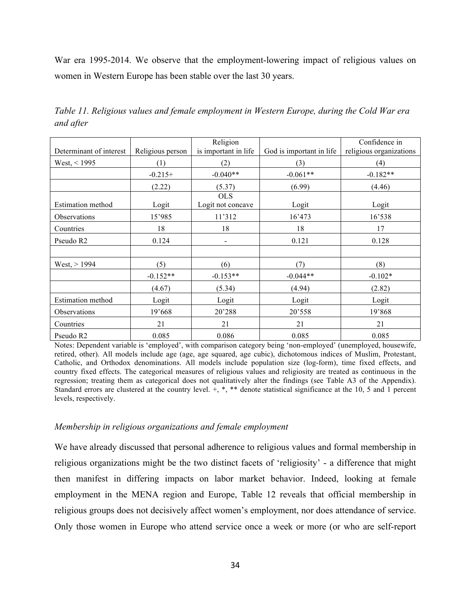War era 1995-2014. We observe that the employment-lowering impact of religious values on women in Western Europe has been stable over the last 30 years.

| Determinant of interest  | Religious person | Religion<br>is important in life | God is important in life | Confidence in<br>religious organizations |
|--------------------------|------------------|----------------------------------|--------------------------|------------------------------------------|
| West, < 1995             | (1)              | (2)                              | (3)                      | (4)                                      |
|                          | $-0.215+$        | $-0.040**$                       | $-0.061**$               | $-0.182**$                               |
|                          | (2.22)           | (5.37)                           | (6.99)                   | (4.46)                                   |
| <b>Estimation method</b> | Logit            | <b>OLS</b><br>Logit not concave  | Logit                    | Logit                                    |
| Observations             | 15'985           | 11'312                           | 16'473                   | 16'538                                   |
| Countries                | 18               | 18                               | 18                       | 17                                       |
| Pseudo R2                | 0.124            | $\blacksquare$                   | 0.121                    | 0.128                                    |
|                          |                  |                                  |                          |                                          |
| West, > 1994             | (5)              | (6)                              | (7)                      | (8)                                      |
|                          | $-0.152**$       | $-0.153**$                       | $-0.044**$               | $-0.102*$                                |
|                          | (4.67)           | (5.34)                           | (4.94)                   | (2.82)                                   |
| <b>Estimation method</b> | Logit            | Logit                            | Logit                    | Logit                                    |
| Observations             | 19'668           | 20'288                           | 20'558                   | 19'868                                   |
| Countries                | 21               | 21                               | 21                       | 21                                       |
| Pseudo R <sub>2</sub>    | 0.085            | 0.086                            | 0.085                    | 0.085                                    |

*Table 11. Religious values and female employment in Western Europe, during the Cold War era and after* 

Notes: Dependent variable is 'employed', with comparison category being 'non-employed' (unemployed, housewife, retired, other). All models include age (age, age squared, age cubic), dichotomous indices of Muslim, Protestant, Catholic, and Orthodox denominations. All models include population size (log-form), time fixed effects, and country fixed effects. The categorical measures of religious values and religiosity are treated as continuous in the regression; treating them as categorical does not qualitatively alter the findings (see Table A3 of the Appendix). Standard errors are clustered at the country level.  $+, *, **$  denote statistical significance at the 10, 5 and 1 percent levels, respectively.

#### *Membership in religious organizations and female employment*

We have already discussed that personal adherence to religious values and formal membership in religious organizations might be the two distinct facets of 'religiosity' - a difference that might then manifest in differing impacts on labor market behavior. Indeed, looking at female employment in the MENA region and Europe, Table 12 reveals that official membership in religious groups does not decisively affect women's employment, nor does attendance of service. Only those women in Europe who attend service once a week or more (or who are self-report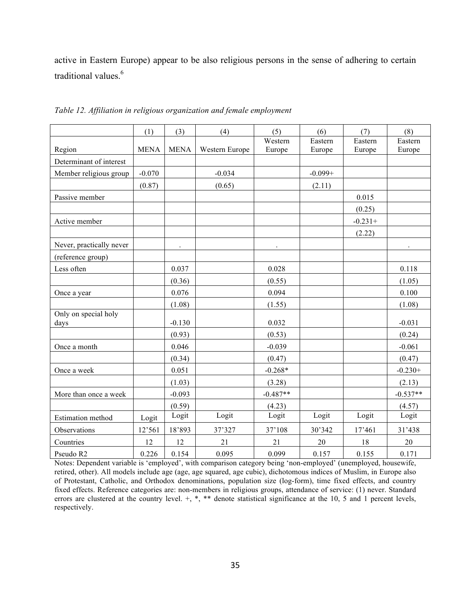active in Eastern Europe) appear to be also religious persons in the sense of adhering to certain traditional values.<sup>6</sup>

|                          | (1)         | (3)         | (4)            | (5)        | (6)       | (7)       | (8)        |
|--------------------------|-------------|-------------|----------------|------------|-----------|-----------|------------|
|                          |             |             |                | Western    | Eastern   | Eastern   | Eastern    |
| Region                   | <b>MENA</b> | <b>MENA</b> | Western Europe | Europe     | Europe    | Europe    | Europe     |
| Determinant of interest  |             |             |                |            |           |           |            |
| Member religious group   | $-0.070$    |             | $-0.034$       |            | $-0.099+$ |           |            |
|                          | (0.87)      |             | (0.65)         |            | (2.11)    |           |            |
| Passive member           |             |             |                |            |           | 0.015     |            |
|                          |             |             |                |            |           | (0.25)    |            |
| Active member            |             |             |                |            |           | $-0.231+$ |            |
|                          |             |             |                |            |           | (2.22)    |            |
| Never, practically never |             |             |                |            |           |           |            |
| (reference group)        |             |             |                |            |           |           |            |
| Less often               |             | 0.037       |                | 0.028      |           |           | 0.118      |
|                          |             | (0.36)      |                | (0.55)     |           |           | (1.05)     |
| Once a year              |             | 0.076       |                | 0.094      |           |           | 0.100      |
|                          |             | (1.08)      |                | (1.55)     |           |           | (1.08)     |
| Only on special holy     |             |             |                |            |           |           |            |
| days                     |             | $-0.130$    |                | 0.032      |           |           | $-0.031$   |
|                          |             | (0.93)      |                | (0.53)     |           |           | (0.24)     |
| Once a month             |             | 0.046       |                | $-0.039$   |           |           | $-0.061$   |
|                          |             | (0.34)      |                | (0.47)     |           |           | (0.47)     |
| Once a week              |             | 0.051       |                | $-0.268*$  |           |           | $-0.230+$  |
|                          |             | (1.03)      |                | (3.28)     |           |           | (2.13)     |
| More than once a week    |             | $-0.093$    |                | $-0.487**$ |           |           | $-0.537**$ |
|                          |             | (0.59)      |                | (4.23)     |           |           | (4.57)     |
| <b>Estimation</b> method | Logit       | Logit       | Logit          | Logit      | Logit     | Logit     | Logit      |
| Observations             | 12'561      | 18'893      | 37'327         | 37'108     | 30'342    | 17'461    | 31'438     |
| Countries                | 12          | 12          | 21             | 21         | 20        | 18        | 20         |
| Pseudo R2                | 0.226       | 0.154       | 0.095          | 0.099      | 0.157     | 0.155     | 0.171      |

*Table 12. Affiliation in religious organization and female employment*

Notes: Dependent variable is 'employed', with comparison category being 'non-employed' (unemployed, housewife, retired, other). All models include age (age, age squared, age cubic), dichotomous indices of Muslim, in Europe also of Protestant, Catholic, and Orthodox denominations, population size (log-form), time fixed effects, and country fixed effects. Reference categories are: non-members in religious groups, attendance of service: (1) never. Standard errors are clustered at the country level.  $+, *, **$  denote statistical significance at the 10, 5 and 1 percent levels, respectively.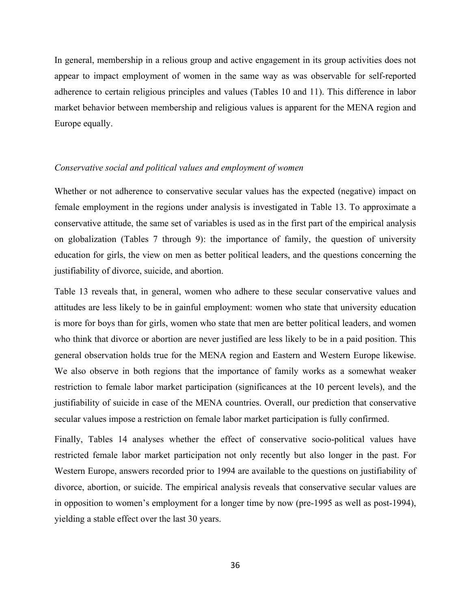In general, membership in a relious group and active engagement in its group activities does not appear to impact employment of women in the same way as was observable for self-reported adherence to certain religious principles and values (Tables 10 and 11). This difference in labor market behavior between membership and religious values is apparent for the MENA region and Europe equally.

#### *Conservative social and political values and employment of women*

Whether or not adherence to conservative secular values has the expected (negative) impact on female employment in the regions under analysis is investigated in Table 13. To approximate a conservative attitude, the same set of variables is used as in the first part of the empirical analysis on globalization (Tables 7 through 9): the importance of family, the question of university education for girls, the view on men as better political leaders, and the questions concerning the justifiability of divorce, suicide, and abortion.

Table 13 reveals that, in general, women who adhere to these secular conservative values and attitudes are less likely to be in gainful employment: women who state that university education is more for boys than for girls, women who state that men are better political leaders, and women who think that divorce or abortion are never justified are less likely to be in a paid position. This general observation holds true for the MENA region and Eastern and Western Europe likewise. We also observe in both regions that the importance of family works as a somewhat weaker restriction to female labor market participation (significances at the 10 percent levels), and the justifiability of suicide in case of the MENA countries. Overall, our prediction that conservative secular values impose a restriction on female labor market participation is fully confirmed.

Finally, Tables 14 analyses whether the effect of conservative socio-political values have restricted female labor market participation not only recently but also longer in the past. For Western Europe, answers recorded prior to 1994 are available to the questions on justifiability of divorce, abortion, or suicide. The empirical analysis reveals that conservative secular values are in opposition to women's employment for a longer time by now (pre-1995 as well as post-1994), yielding a stable effect over the last 30 years.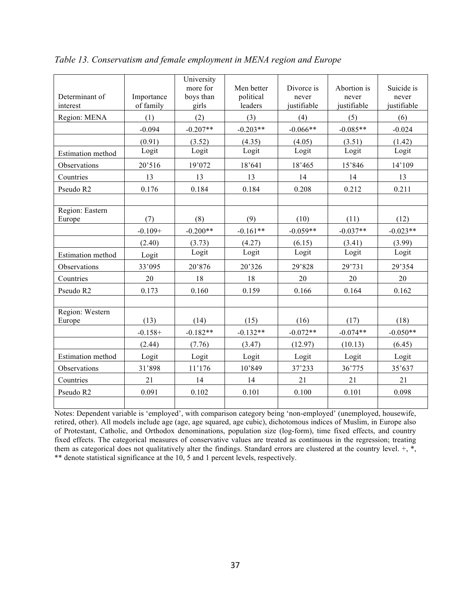| Determinant of<br>interest | Importance<br>of family | University<br>more for<br>boys than<br>girls | Men better<br>political<br>leaders | Divorce is<br>never<br>justifiable | Abortion is<br>never<br>justifiable | Suicide is<br>never<br>justifiable |
|----------------------------|-------------------------|----------------------------------------------|------------------------------------|------------------------------------|-------------------------------------|------------------------------------|
| Region: MENA               | (1)                     | (2)                                          | (3)                                | (4)                                | (5)                                 | (6)                                |
|                            | $-0.094$                | $-0.207**$                                   | $-0.203**$                         | $-0.066**$                         | $-0.085**$                          | $-0.024$                           |
|                            | (0.91)                  | (3.52)                                       | (4.35)                             | (4.05)                             | (3.51)                              | (1.42)                             |
| Estimation method          | Logit                   | Logit                                        | Logit                              | Logit                              | Logit                               | Logit                              |
| Observations               | 20'516                  | 19'072                                       | 18'641                             | 18'465                             | 15'846                              | 14'109                             |
| Countries                  | 13                      | 13                                           | 13                                 | 14                                 | 14                                  | 13                                 |
| Pseudo R2                  | 0.176                   | 0.184                                        | 0.184                              | 0.208                              | 0.212                               | 0.211                              |
|                            |                         |                                              |                                    |                                    |                                     |                                    |
| Region: Eastern<br>Europe  | (7)                     | (8)                                          | (9)                                | (10)                               | (11)                                | (12)                               |
|                            | $-0.109+$               | $-0.200**$                                   | $-0.161**$                         | $-0.059**$                         | $-0.037**$                          | $-0.023**$                         |
|                            | (2.40)                  | (3.73)                                       | (4.27)                             | (6.15)                             | (3.41)                              | (3.99)                             |
| <b>Estimation</b> method   | Logit                   | Logit                                        | Logit                              | Logit                              | Logit                               | Logit                              |
| Observations               | 33'095                  | 20'876                                       | 20'326                             | 29'828                             | 29'731                              | 29'354                             |
| Countries                  | 20                      | 18                                           | 18                                 | 20                                 | 20                                  | 20                                 |
| Pseudo R2                  | 0.173                   | 0.160                                        | 0.159                              | 0.166                              | 0.164                               | 0.162                              |
|                            |                         |                                              |                                    |                                    |                                     |                                    |
| Region: Western            | (13)                    | (14)                                         | (15)                               | (16)                               |                                     | (18)                               |
| Europe                     | $-0.158+$               | $-0.182**$                                   | $-0.132**$                         | $-0.072**$                         | (17)<br>$-0.074**$                  | $-0.050**$                         |
|                            |                         |                                              |                                    |                                    |                                     |                                    |
|                            | (2.44)                  | (7.76)                                       | (3.47)                             | (12.97)                            | (10.13)                             | (6.45)                             |
| <b>Estimation</b> method   | Logit                   | Logit                                        | Logit                              | Logit                              | Logit                               | Logit                              |
| Observations               | 31'898                  | 11'176                                       | 10'849                             | 37'233                             | 36'775                              | 35'637                             |
| Countries                  | 21                      | 14                                           | 14                                 | 21                                 | 21                                  | 21                                 |
| Pseudo R2                  | 0.091                   | 0.102                                        | 0.101                              | 0.100                              | 0.101                               | 0.098                              |
|                            |                         |                                              |                                    |                                    |                                     |                                    |

*Table 13. Conservatism and female employment in MENA region and Europe* 

Notes: Dependent variable is 'employed', with comparison category being 'non-employed' (unemployed, housewife, retired, other). All models include age (age, age squared, age cubic), dichotomous indices of Muslim, in Europe also of Protestant, Catholic, and Orthodox denominations, population size (log-form), time fixed effects, and country fixed effects. The categorical measures of conservative values are treated as continuous in the regression; treating them as categorical does not qualitatively alter the findings. Standard errors are clustered at the country level.  $+$ ,  $*$ , \*\* denote statistical significance at the 10, 5 and 1 percent levels, respectively.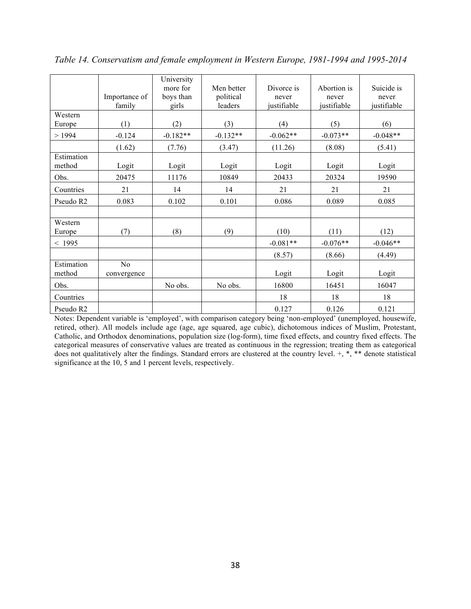|                      | Importance of<br>family       | University<br>more for<br>boys than<br>girls | Men better<br>political<br>leaders | Divorce is<br>never<br>justifiable | Abortion is<br>never<br>justifiable | Suicide is<br>never<br>justifiable |
|----------------------|-------------------------------|----------------------------------------------|------------------------------------|------------------------------------|-------------------------------------|------------------------------------|
| Western<br>Europe    | (1)                           | (2)                                          | (3)                                | (4)                                | (5)                                 | (6)                                |
| >1994                | $-0.124$                      | $-0.182**$                                   | $-0.132**$                         | $-0.062**$                         | $-0.073**$                          | $-0.048**$                         |
|                      | (1.62)                        | (7.76)                                       | (3.47)                             | (11.26)                            | (8.08)                              | (5.41)                             |
| Estimation<br>method | Logit                         | Logit                                        | Logit                              | Logit                              | Logit                               | Logit                              |
| Obs.                 | 20475                         | 11176                                        | 10849                              | 20433                              | 20324                               | 19590                              |
| Countries            | 21                            | 14                                           | 14                                 | 21                                 | 21                                  | 21                                 |
| Pseudo R2            | 0.083                         | 0.102                                        | 0.101                              | 0.086                              | 0.089                               | 0.085                              |
|                      |                               |                                              |                                    |                                    |                                     |                                    |
| Western<br>Europe    | (7)                           | (8)                                          | (9)                                | (10)                               | (11)                                | (12)                               |
| < 1995               |                               |                                              |                                    | $-0.081**$                         | $-0.076**$                          | $-0.046**$                         |
|                      |                               |                                              |                                    | (8.57)                             | (8.66)                              | (4.49)                             |
| Estimation<br>method | N <sub>o</sub><br>convergence |                                              |                                    | Logit                              | Logit                               | Logit                              |
| Obs.                 |                               | No obs.                                      | No obs.                            | 16800                              | 16451                               | 16047                              |
| Countries            |                               |                                              |                                    | 18                                 | 18                                  | 18                                 |
| Pseudo R2            |                               |                                              |                                    | 0.127                              | 0.126                               | 0.121                              |

*Table 14. Conservatism and female employment in Western Europe, 1981-1994 and 1995-2014* 

Notes: Dependent variable is 'employed', with comparison category being 'non-employed' (unemployed, housewife, retired, other). All models include age (age, age squared, age cubic), dichotomous indices of Muslim, Protestant, Catholic, and Orthodox denominations, population size (log-form), time fixed effects, and country fixed effects. The categorical measures of conservative values are treated as continuous in the regression; treating them as categorical does not qualitatively alter the findings. Standard errors are clustered at the country level. +, \*, \*\* denote statistical significance at the 10, 5 and 1 percent levels, respectively.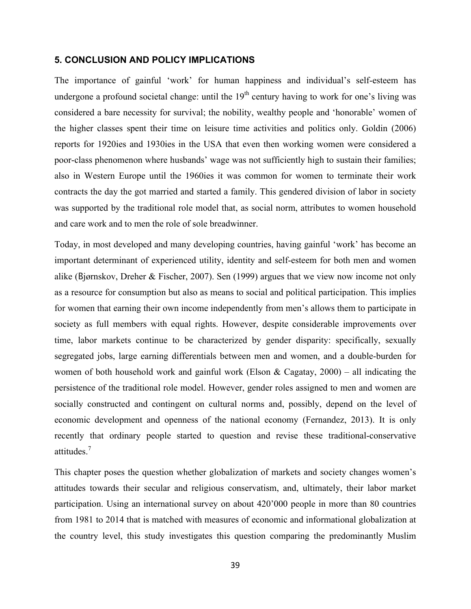### **5. CONCLUSION AND POLICY IMPLICATIONS**

The importance of gainful 'work' for human happiness and individual's self-esteem has undergone a profound societal change: until the  $19<sup>th</sup>$  century having to work for one's living was considered a bare necessity for survival; the nobility, wealthy people and 'honorable' women of the higher classes spent their time on leisure time activities and politics only. Goldin (2006) reports for 1920ies and 1930ies in the USA that even then working women were considered a poor-class phenomenon where husbands' wage was not sufficiently high to sustain their families; also in Western Europe until the 1960ies it was common for women to terminate their work contracts the day the got married and started a family. This gendered division of labor in society was supported by the traditional role model that, as social norm, attributes to women household and care work and to men the role of sole breadwinner.

Today, in most developed and many developing countries, having gainful 'work' has become an important determinant of experienced utility, identity and self-esteem for both men and women alike (Bjørnskov, Dreher & Fischer, 2007). Sen (1999) argues that we view now income not only as a resource for consumption but also as means to social and political participation. This implies for women that earning their own income independently from men's allows them to participate in society as full members with equal rights. However, despite considerable improvements over time, labor markets continue to be characterized by gender disparity: specifically, sexually segregated jobs, large earning differentials between men and women, and a double-burden for women of both household work and gainful work (Elson  $\&$  Cagatay, 2000) – all indicating the persistence of the traditional role model. However, gender roles assigned to men and women are socially constructed and contingent on cultural norms and, possibly, depend on the level of economic development and openness of the national economy (Fernandez, 2013). It is only recently that ordinary people started to question and revise these traditional-conservative attitudes.<sup>7</sup>

This chapter poses the question whether globalization of markets and society changes women's attitudes towards their secular and religious conservatism, and, ultimately, their labor market participation. Using an international survey on about 420'000 people in more than 80 countries from 1981 to 2014 that is matched with measures of economic and informational globalization at the country level, this study investigates this question comparing the predominantly Muslim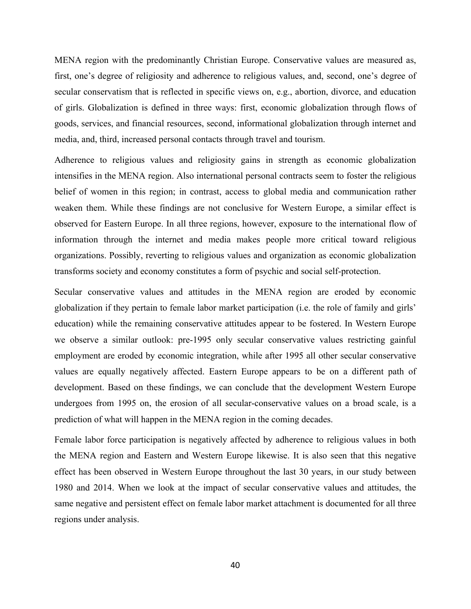MENA region with the predominantly Christian Europe. Conservative values are measured as, first, one's degree of religiosity and adherence to religious values, and, second, one's degree of secular conservatism that is reflected in specific views on, e.g., abortion, divorce, and education of girls. Globalization is defined in three ways: first, economic globalization through flows of goods, services, and financial resources, second, informational globalization through internet and media, and, third, increased personal contacts through travel and tourism.

Adherence to religious values and religiosity gains in strength as economic globalization intensifies in the MENA region. Also international personal contracts seem to foster the religious belief of women in this region; in contrast, access to global media and communication rather weaken them. While these findings are not conclusive for Western Europe, a similar effect is observed for Eastern Europe. In all three regions, however, exposure to the international flow of information through the internet and media makes people more critical toward religious organizations. Possibly, reverting to religious values and organization as economic globalization transforms society and economy constitutes a form of psychic and social self-protection.

Secular conservative values and attitudes in the MENA region are eroded by economic globalization if they pertain to female labor market participation (i.e. the role of family and girls' education) while the remaining conservative attitudes appear to be fostered. In Western Europe we observe a similar outlook: pre-1995 only secular conservative values restricting gainful employment are eroded by economic integration, while after 1995 all other secular conservative values are equally negatively affected. Eastern Europe appears to be on a different path of development. Based on these findings, we can conclude that the development Western Europe undergoes from 1995 on, the erosion of all secular-conservative values on a broad scale, is a prediction of what will happen in the MENA region in the coming decades.

Female labor force participation is negatively affected by adherence to religious values in both the MENA region and Eastern and Western Europe likewise. It is also seen that this negative effect has been observed in Western Europe throughout the last 30 years, in our study between 1980 and 2014. When we look at the impact of secular conservative values and attitudes, the same negative and persistent effect on female labor market attachment is documented for all three regions under analysis.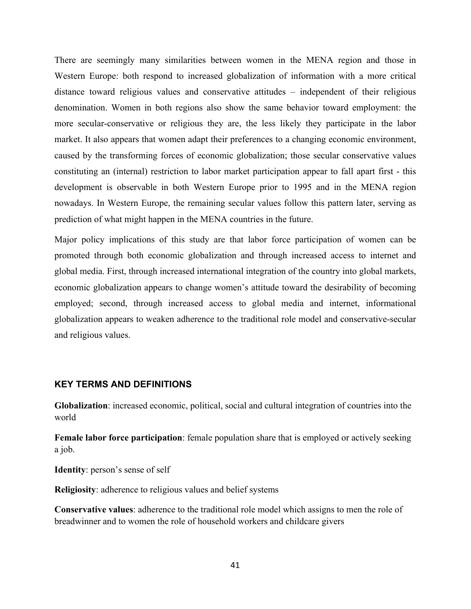There are seemingly many similarities between women in the MENA region and those in Western Europe: both respond to increased globalization of information with a more critical distance toward religious values and conservative attitudes – independent of their religious denomination. Women in both regions also show the same behavior toward employment: the more secular-conservative or religious they are, the less likely they participate in the labor market. It also appears that women adapt their preferences to a changing economic environment, caused by the transforming forces of economic globalization; those secular conservative values constituting an (internal) restriction to labor market participation appear to fall apart first - this development is observable in both Western Europe prior to 1995 and in the MENA region nowadays. In Western Europe, the remaining secular values follow this pattern later, serving as prediction of what might happen in the MENA countries in the future.

Major policy implications of this study are that labor force participation of women can be promoted through both economic globalization and through increased access to internet and global media. First, through increased international integration of the country into global markets, economic globalization appears to change women's attitude toward the desirability of becoming employed; second, through increased access to global media and internet, informational globalization appears to weaken adherence to the traditional role model and conservative-secular and religious values.

## **KEY TERMS AND DEFINITIONS**

**Globalization**: increased economic, political, social and cultural integration of countries into the world

**Female labor force participation**: female population share that is employed or actively seeking a job.

**Identity**: person's sense of self

**Religiosity**: adherence to religious values and belief systems

**Conservative values**: adherence to the traditional role model which assigns to men the role of breadwinner and to women the role of household workers and childcare givers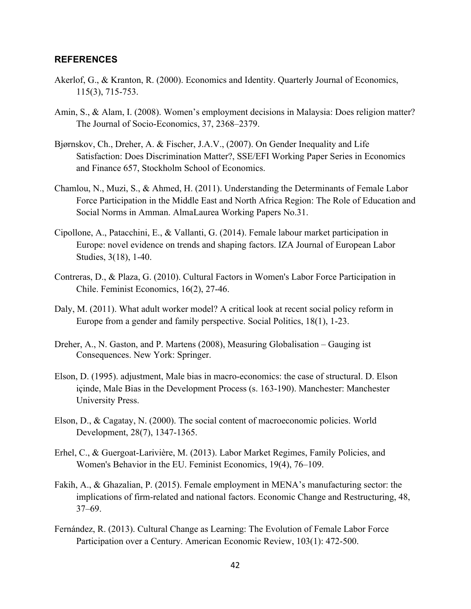## **REFERENCES**

- Akerlof, G., & Kranton, R. (2000). Economics and Identity. Quarterly Journal of Economics, 115(3), 715-753.
- Amin, S., & Alam, I. (2008). Women's employment decisions in Malaysia: Does religion matter? The Journal of Socio-Economics, 37, 2368–2379.
- Bjørnskov, Ch., Dreher, A. & Fischer, J.A.V., (2007). On Gender Inequality and Life Satisfaction: Does Discrimination Matter?, SSE/EFI Working Paper Series in Economics and Finance 657, Stockholm School of Economics.
- Chamlou, N., Muzi, S., & Ahmed, H. (2011). Understanding the Determinants of Female Labor Force Participation in the Middle East and North Africa Region: The Role of Education and Social Norms in Amman. AlmaLaurea Working Papers No.31.
- Cipollone, A., Patacchini, E., & Vallanti, G. (2014). Female labour market participation in Europe: novel evidence on trends and shaping factors. IZA Journal of European Labor Studies, 3(18), 1-40.
- Contreras, D., & Plaza, G. (2010). Cultural Factors in Women's Labor Force Participation in Chile. Feminist Economics, 16(2), 27-46.
- Daly, M. (2011). What adult worker model? A critical look at recent social policy reform in Europe from a gender and family perspective. Social Politics, 18(1), 1-23.
- Dreher, A., N. Gaston, and P. Martens (2008), Measuring Globalisation Gauging ist Consequences. New York: Springer.
- Elson, D. (1995). adjustment, Male bias in macro-economics: the case of structural. D. Elson içinde, Male Bias in the Development Process (s. 163-190). Manchester: Manchester University Press.
- Elson, D., & Cagatay, N. (2000). The social content of macroeconomic policies. World Development, 28(7), 1347-1365.
- Erhel, C., & Guergoat-Larivière, M. (2013). Labor Market Regimes, Family Policies, and Women's Behavior in the EU. Feminist Economics, 19(4), 76–109.
- Fakih, A., & Ghazalian, P. (2015). Female employment in MENA's manufacturing sector: the implications of firm-related and national factors. Economic Change and Restructuring, 48, 37–69.
- Fernández, R. (2013). Cultural Change as Learning: The Evolution of Female Labor Force Participation over a Century. American Economic Review, 103(1): 472-500.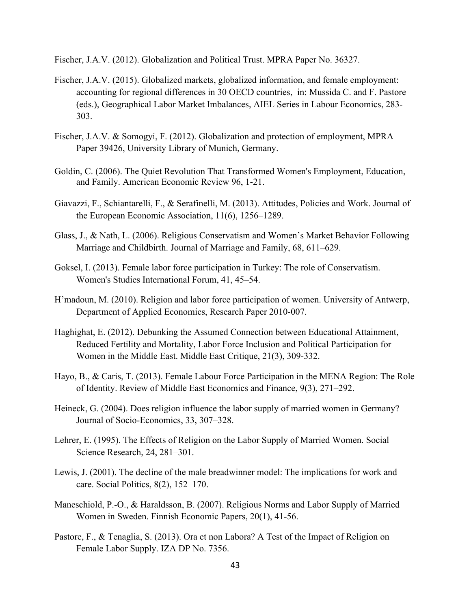Fischer, J.A.V. (2012). Globalization and Political Trust. MPRA Paper No. 36327.

- Fischer, J.A.V. (2015). Globalized markets, globalized information, and female employment: accounting for regional differences in 30 OECD countries, in: Mussida C. and F. Pastore (eds.), Geographical Labor Market Imbalances, AIEL Series in Labour Economics, 283- 303.
- Fischer, J.A.V. & Somogyi, F. (2012). Globalization and protection of employment, MPRA Paper 39426, University Library of Munich, Germany.
- Goldin, C. (2006). The Quiet Revolution That Transformed Women's Employment, Education, and Family. American Economic Review 96, 1-21.
- Giavazzi, F., Schiantarelli, F., & Serafinelli, M. (2013). Attitudes, Policies and Work. Journal of the European Economic Association, 11(6), 1256–1289.
- Glass, J., & Nath, L. (2006). Religious Conservatism and Women's Market Behavior Following Marriage and Childbirth. Journal of Marriage and Family, 68, 611–629.
- Goksel, I. (2013). Female labor force participation in Turkey: The role of Conservatism. Women's Studies International Forum, 41, 45–54.
- H'madoun, M. (2010). Religion and labor force participation of women. University of Antwerp, Department of Applied Economics, Research Paper 2010-007.
- Haghighat, E. (2012). Debunking the Assumed Connection between Educational Attainment, Reduced Fertility and Mortality, Labor Force Inclusion and Political Participation for Women in the Middle East. Middle East Critique, 21(3), 309-332.
- Hayo, B., & Caris, T. (2013). Female Labour Force Participation in the MENA Region: The Role of Identity. Review of Middle East Economics and Finance, 9(3), 271–292.
- Heineck, G. (2004). Does religion influence the labor supply of married women in Germany? Journal of Socio-Economics, 33, 307–328.
- Lehrer, E. (1995). The Effects of Religion on the Labor Supply of Married Women. Social Science Research, 24, 281–301.
- Lewis, J. (2001). The decline of the male breadwinner model: The implications for work and care. Social Politics, 8(2), 152–170.
- Maneschiold, P.-O., & Haraldsson, B. (2007). Religious Norms and Labor Supply of Married Women in Sweden. Finnish Economic Papers, 20(1), 41-56.
- Pastore, F., & Tenaglia, S. (2013). Ora et non Labora? A Test of the Impact of Religion on Female Labor Supply. IZA DP No. 7356.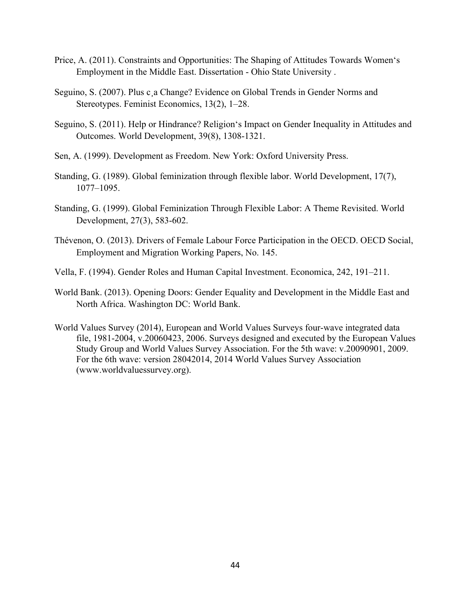- Price, A. (2011). Constraints and Opportunities: The Shaping of Attitudes Towards Women's Employment in the Middle East. Dissertation - Ohio State University .
- Seguino, S. (2007). Plus c¸a Change? Evidence on Global Trends in Gender Norms and Stereotypes. Feminist Economics, 13(2), 1–28.
- Seguino, S. (2011). Help or Hindrance? Religion's Impact on Gender Inequality in Attitudes and Outcomes. World Development, 39(8), 1308-1321.
- Sen, A. (1999). Development as Freedom. New York: Oxford University Press.
- Standing, G. (1989). Global feminization through flexible labor. World Development, 17(7), 1077–1095.
- Standing, G. (1999). Global Feminization Through Flexible Labor: A Theme Revisited. World Development, 27(3), 583-602.
- Thévenon, O. (2013). Drivers of Female Labour Force Participation in the OECD. OECD Social, Employment and Migration Working Papers, No. 145.
- Vella, F. (1994). Gender Roles and Human Capital Investment. Economica, 242, 191–211.
- World Bank. (2013). Opening Doors: Gender Equality and Development in the Middle East and North Africa. Washington DC: World Bank.
- World Values Survey (2014), European and World Values Surveys four-wave integrated data file, 1981-2004, v.20060423, 2006. Surveys designed and executed by the European Values Study Group and World Values Survey Association. For the 5th wave: v.20090901, 2009. For the 6th wave: version 28042014, 2014 World Values Survey Association (www.worldvaluessurvey.org).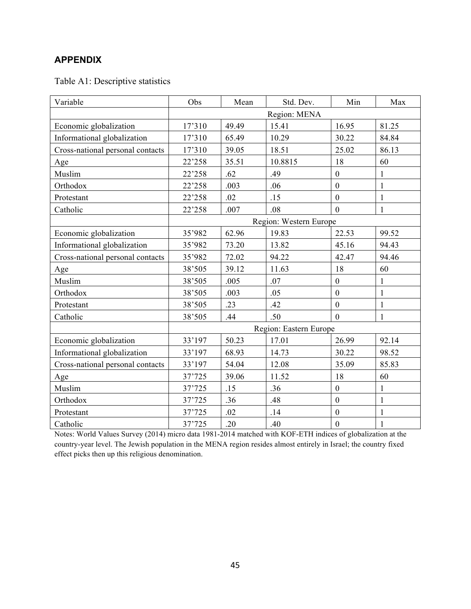## **APPENDIX**

Table A1: Descriptive statistics

| Variable                         | Obs    | Mean  | Std. Dev.              | Min              | Max          |
|----------------------------------|--------|-------|------------------------|------------------|--------------|
|                                  |        |       | Region: MENA           |                  |              |
| Economic globalization           | 17'310 | 49.49 | 15.41                  | 16.95            | 81.25        |
| Informational globalization      | 17'310 | 65.49 | 10.29                  | 30.22            | 84.84        |
| Cross-national personal contacts | 17'310 | 39.05 | 18.51                  | 25.02            | 86.13        |
| Age                              | 22'258 | 35.51 | 10.8815                | 18               | 60           |
| Muslim                           | 22'258 | .62   | .49                    | $\boldsymbol{0}$ | $\mathbf{1}$ |
| Orthodox                         | 22'258 | .003  | .06                    | $\boldsymbol{0}$ | $\mathbf{1}$ |
| Protestant                       | 22'258 | .02   | .15                    | $\overline{0}$   | $\mathbf{1}$ |
| Catholic                         | 22'258 | .007  | .08                    | $\overline{0}$   | 1            |
|                                  |        |       | Region: Western Europe |                  |              |
| Economic globalization           | 35'982 | 62.96 | 19.83                  | 22.53            | 99.52        |
| Informational globalization      | 35'982 | 73.20 | 13.82                  | 45.16            | 94.43        |
| Cross-national personal contacts | 35'982 | 72.02 | 94.22                  | 42.47            | 94.46        |
| Age                              | 38'505 | 39.12 | 11.63                  | 18               | 60           |
| Muslim                           | 38'505 | .005  | .07                    | $\boldsymbol{0}$ | $\mathbf{1}$ |
| Orthodox                         | 38'505 | .003  | .05                    | $\boldsymbol{0}$ | $\mathbf{1}$ |
| Protestant                       | 38'505 | .23   | .42                    | $\overline{0}$   | $\mathbf{1}$ |
| Catholic                         | 38'505 | .44   | .50                    | $\overline{0}$   | 1            |
|                                  |        |       | Region: Eastern Europe |                  |              |
| Economic globalization           | 33'197 | 50.23 | 17.01                  | 26.99            | 92.14        |
| Informational globalization      | 33'197 | 68.93 | 14.73                  | 30.22            | 98.52        |
| Cross-national personal contacts | 33'197 | 54.04 | 12.08                  | 35.09            | 85.83        |
| Age                              | 37'725 | 39.06 | 11.52                  | 18               | 60           |
| Muslim                           | 37'725 | .15   | .36                    | $\boldsymbol{0}$ | $\mathbf{1}$ |
| Orthodox                         | 37'725 | .36   | .48                    | $\overline{0}$   | $\mathbf{1}$ |
| Protestant                       | 37'725 | .02   | .14                    | $\boldsymbol{0}$ | $\mathbf{1}$ |
| Catholic                         | 37'725 | .20   | .40                    | $\boldsymbol{0}$ | $\mathbf{1}$ |

Notes: World Values Survey (2014) micro data 1981-2014 matched with KOF-ETH indices of globalization at the country-year level. The Jewish population in the MENA region resides almost entirely in Israel; the country fixed effect picks then up this religious denomination.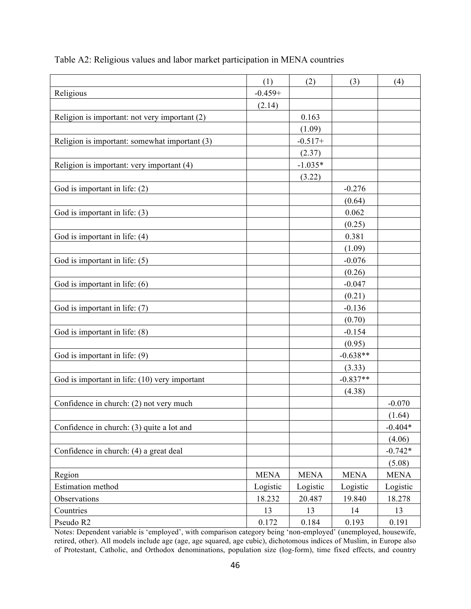|                                               | (1)         | (2)         | (3)         | (4)         |
|-----------------------------------------------|-------------|-------------|-------------|-------------|
| Religious                                     | $-0.459+$   |             |             |             |
|                                               | (2.14)      |             |             |             |
| Religion is important: not very important (2) |             | 0.163       |             |             |
|                                               |             | (1.09)      |             |             |
| Religion is important: somewhat important (3) |             | $-0.517+$   |             |             |
|                                               |             | (2.37)      |             |             |
| Religion is important: very important (4)     |             | $-1.035*$   |             |             |
|                                               |             | (3.22)      |             |             |
| God is important in life: (2)                 |             |             | $-0.276$    |             |
|                                               |             |             | (0.64)      |             |
| God is important in life: (3)                 |             |             | 0.062       |             |
|                                               |             |             | (0.25)      |             |
| God is important in life: (4)                 |             |             | 0.381       |             |
|                                               |             |             | (1.09)      |             |
| God is important in life: (5)                 |             |             | $-0.076$    |             |
|                                               |             |             | (0.26)      |             |
| God is important in life: (6)                 |             |             | $-0.047$    |             |
|                                               |             |             | (0.21)      |             |
| God is important in life: (7)                 |             |             | $-0.136$    |             |
|                                               |             |             | (0.70)      |             |
| God is important in life: (8)                 |             |             | $-0.154$    |             |
|                                               |             |             | (0.95)      |             |
| God is important in life: (9)                 |             |             | $-0.638**$  |             |
|                                               |             |             | (3.33)      |             |
| God is important in life: (10) very important |             |             | $-0.837**$  |             |
|                                               |             |             | (4.38)      |             |
| Confidence in church: (2) not very much       |             |             |             | $-0.070$    |
|                                               |             |             |             | (1.64)      |
| Confidence in church: (3) quite a lot and     |             |             |             | $-0.404*$   |
|                                               |             |             |             | (4.06)      |
| Confidence in church: (4) a great deal        |             |             |             | $-0.742*$   |
|                                               |             |             |             | (5.08)      |
| Region                                        | <b>MENA</b> | <b>MENA</b> | <b>MENA</b> | <b>MENA</b> |
| <b>Estimation</b> method                      | Logistic    | Logistic    | Logistic    | Logistic    |
| Observations                                  | 18.232      | 20.487      | 19.840      | 18.278      |
| Countries                                     | 13          | 13          | 14          | 13          |
| Pseudo R2                                     | 0.172       | 0.184       | 0.193       | 0.191       |

Table A2: Religious values and labor market participation in MENA countries

Notes: Dependent variable is 'employed', with comparison category being 'non-employed' (unemployed, housewife, retired, other). All models include age (age, age squared, age cubic), dichotomous indices of Muslim, in Europe also of Protestant, Catholic, and Orthodox denominations, population size (log-form), time fixed effects, and country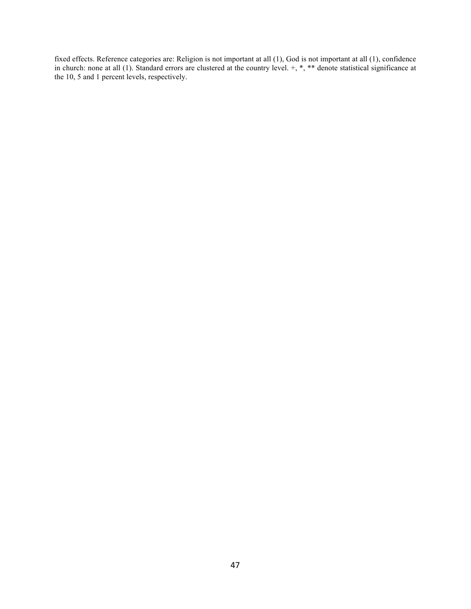fixed effects. Reference categories are: Religion is not important at all (1), God is not important at all (1), confidence in church: none at all  $(1)$ . Standard errors are clustered at the country level.  $+, *, **$  denote statistical significance at the 10, 5 and 1 percent levels, respectively.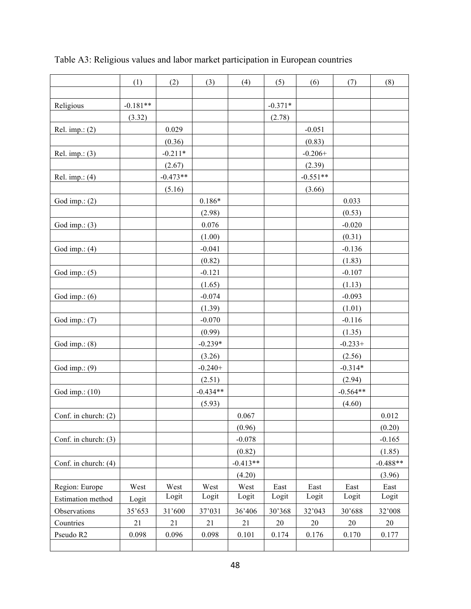|                      | (1)        | (2)        | (3)        | (4)        | (5)       | (6)        | (7)        | (8)        |
|----------------------|------------|------------|------------|------------|-----------|------------|------------|------------|
|                      |            |            |            |            |           |            |            |            |
| Religious            | $-0.181**$ |            |            |            | $-0.371*$ |            |            |            |
|                      | (3.32)     |            |            |            | (2.78)    |            |            |            |
| Rel. imp.: $(2)$     |            | 0.029      |            |            |           | $-0.051$   |            |            |
|                      |            | (0.36)     |            |            |           | (0.83)     |            |            |
| Rel. imp.: $(3)$     |            | $-0.211*$  |            |            |           | $-0.206+$  |            |            |
|                      |            | (2.67)     |            |            |           | (2.39)     |            |            |
| Rel. imp.: $(4)$     |            | $-0.473**$ |            |            |           | $-0.551**$ |            |            |
|                      |            | (5.16)     |            |            |           | (3.66)     |            |            |
| God imp.: $(2)$      |            |            | $0.186*$   |            |           |            | 0.033      |            |
|                      |            |            | (2.98)     |            |           |            | (0.53)     |            |
| God imp.: $(3)$      |            |            | 0.076      |            |           |            | $-0.020$   |            |
|                      |            |            | (1.00)     |            |           |            | (0.31)     |            |
| God imp.: $(4)$      |            |            | $-0.041$   |            |           |            | $-0.136$   |            |
|                      |            |            | (0.82)     |            |           |            | (1.83)     |            |
| God imp.: $(5)$      |            |            | $-0.121$   |            |           |            | $-0.107$   |            |
|                      |            |            | (1.65)     |            |           |            | (1.13)     |            |
| God imp.: $(6)$      |            |            | $-0.074$   |            |           |            | $-0.093$   |            |
|                      |            |            | (1.39)     |            |           |            | (1.01)     |            |
| God imp.: $(7)$      |            |            | $-0.070$   |            |           |            | $-0.116$   |            |
|                      |            |            | (0.99)     |            |           |            | (1.35)     |            |
| God imp.: $(8)$      |            |            | $-0.239*$  |            |           |            | $-0.233+$  |            |
|                      |            |            | (3.26)     |            |           |            | (2.56)     |            |
| God imp.: $(9)$      |            |            | $-0.240+$  |            |           |            | $-0.314*$  |            |
|                      |            |            | (2.51)     |            |           |            | (2.94)     |            |
| God imp.: (10)       |            |            | $-0.434**$ |            |           |            | $-0.564**$ |            |
|                      |            |            | (5.93)     |            |           |            | (4.60)     |            |
| Conf. in church: (2) |            |            |            | 0.067      |           |            |            | 0.012      |
|                      |            |            |            | (0.96)     |           |            |            | (0.20)     |
| Conf. in church: (3) |            |            |            | $-0.078$   |           |            |            | $-0.165$   |
|                      |            |            |            | (0.82)     |           |            |            | (1.85)     |
| Conf. in church: (4) |            |            |            | $-0.413**$ |           |            |            | $-0.488**$ |
|                      |            |            |            | (4.20)     |           |            |            | (3.96)     |
| Region: Europe       | West       | West       | West       | West       | East      | East       | East       | East       |
| Estimation method    | Logit      | Logit      | Logit      | Logit      | Logit     | Logit      | Logit      | Logit      |
| Observations         | 35'653     | 31'600     | 37'031     | 36'406     | 30'368    | 32'043     | 30'688     | 32'008     |
| Countries            | 21         | 21         | 21         | 21         | 20        | 20         | 20         | 20         |
| Pseudo R2            | 0.098      | 0.096      | 0.098      | 0.101      | 0.174     | 0.176      | $0.170\,$  | 0.177      |
|                      |            |            |            |            |           |            |            |            |

Table A3: Religious values and labor market participation in European countries